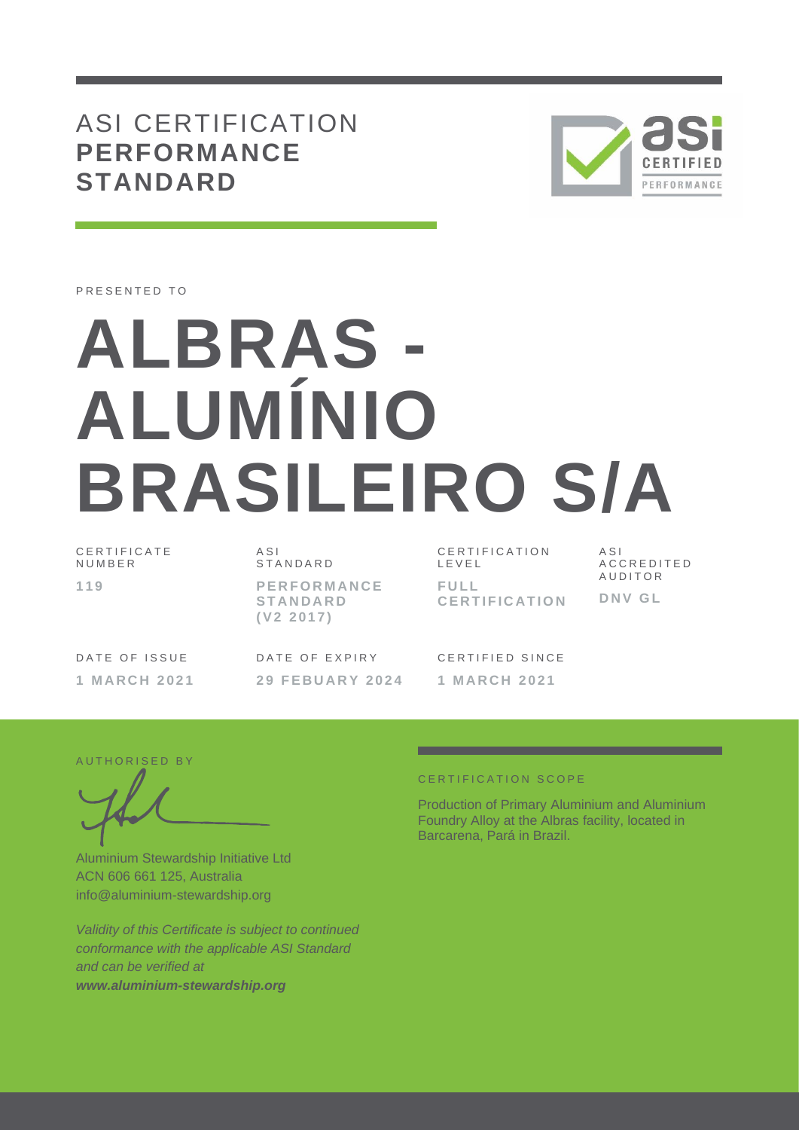## ASI CERTIFICATION **PERFORMANCE STANDARD**



PRESENTED TO

# **ALBRAS - ALUMÍNIO BRASILEIRO S/A**

C E R T I F I C A T E N U M B E R **1 1 9**

A S I S T A N D A R D **P E R F O R M A N C E S T A N D A R D ( V 2 2 0 1 7 )**

C E R T I F I C A T I O N L E V E L **F U L L C E R T I F I C A T I O N** A S I A C C R E D I T E D **AUDITOR D N V G L**

DATE OF ISSUE **1 M A R C H 2 0 2 1** DATE OF EXPIRY **2 9 F E B U A R Y 2 0 2 4**

CERTIFIED SINCE **1 M A R C H 2 0 2 1**

AUTHORISED BY

Aluminium Stewardship Initiative Ltd ACN 606 661 125, Australia info@aluminium-stewardship.org

*Validity of this Certificate is subject to continued conformance with the applicable ASI Standard and can be verified at www.aluminium-stewardship.org*

#### CERTIFICATION SCOPE

Production of Primary Aluminium and Aluminium Foundry Alloy at the Albras facility, located in Barcarena, Pará in Brazil.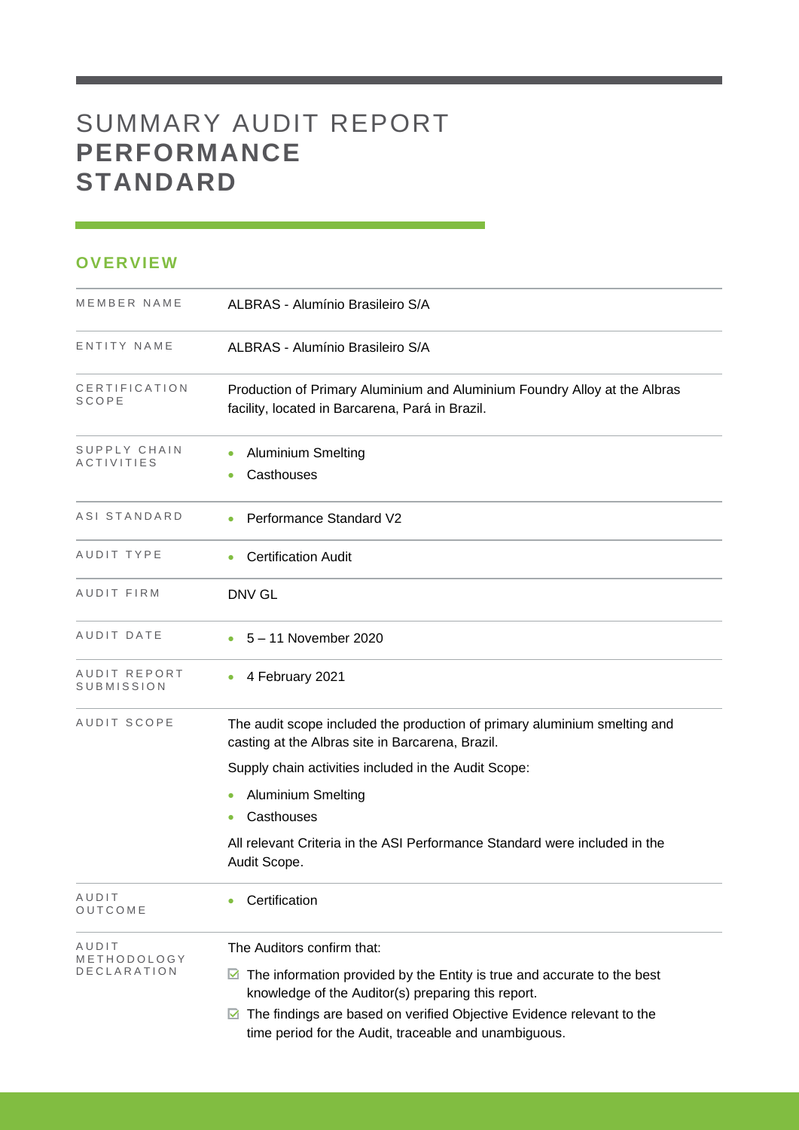# SUMMARY AUDIT REPORT **PERFORMANCE STANDARD**

### **OVERVIEW**

| MEMBER NAME                       | ALBRAS - Alumínio Brasileiro S/A                                                                                                             |
|-----------------------------------|----------------------------------------------------------------------------------------------------------------------------------------------|
| ENTITY NAME                       | ALBRAS - Alumínio Brasileiro S/A                                                                                                             |
| CERTIFICATION<br>SCOPE            | Production of Primary Aluminium and Aluminium Foundry Alloy at the Albras<br>facility, located in Barcarena, Pará in Brazil.                 |
| SUPPLY CHAIN<br>ACTIVITIES        | <b>Aluminium Smelting</b><br>Casthouses                                                                                                      |
| ASI STANDARD                      | Performance Standard V2                                                                                                                      |
| AUDIT TYPE                        | <b>Certification Audit</b>                                                                                                                   |
| AUDIT FIRM                        | <b>DNV GL</b>                                                                                                                                |
| AUDIT DATE                        | 5 - 11 November 2020                                                                                                                         |
| AUDIT REPORT<br>SUBMISSION        | 4 February 2021                                                                                                                              |
| AUDIT SCOPE                       | The audit scope included the production of primary aluminium smelting and<br>casting at the Albras site in Barcarena, Brazil.                |
|                                   | Supply chain activities included in the Audit Scope:                                                                                         |
|                                   | <b>Aluminium Smelting</b>                                                                                                                    |
|                                   | Casthouses<br>۰                                                                                                                              |
|                                   | All relevant Criteria in the ASI Performance Standard were included in the<br>Audit Scope.                                                   |
| AUDIT<br>OUTCOME                  | Certification                                                                                                                                |
| AUDIT                             | The Auditors confirm that:                                                                                                                   |
| METHODOLOGY<br><b>DECLARATION</b> | $\blacksquare$ The information provided by the Entity is true and accurate to the best<br>knowledge of the Auditor(s) preparing this report. |
|                                   | The findings are based on verified Objective Evidence relevant to the<br>⊻<br>time period for the Audit, traceable and unambiguous.          |

and the control of the control of the control of the control of the control of the control of the control of the control of the control of the control of the control of the control of the control of the control of the cont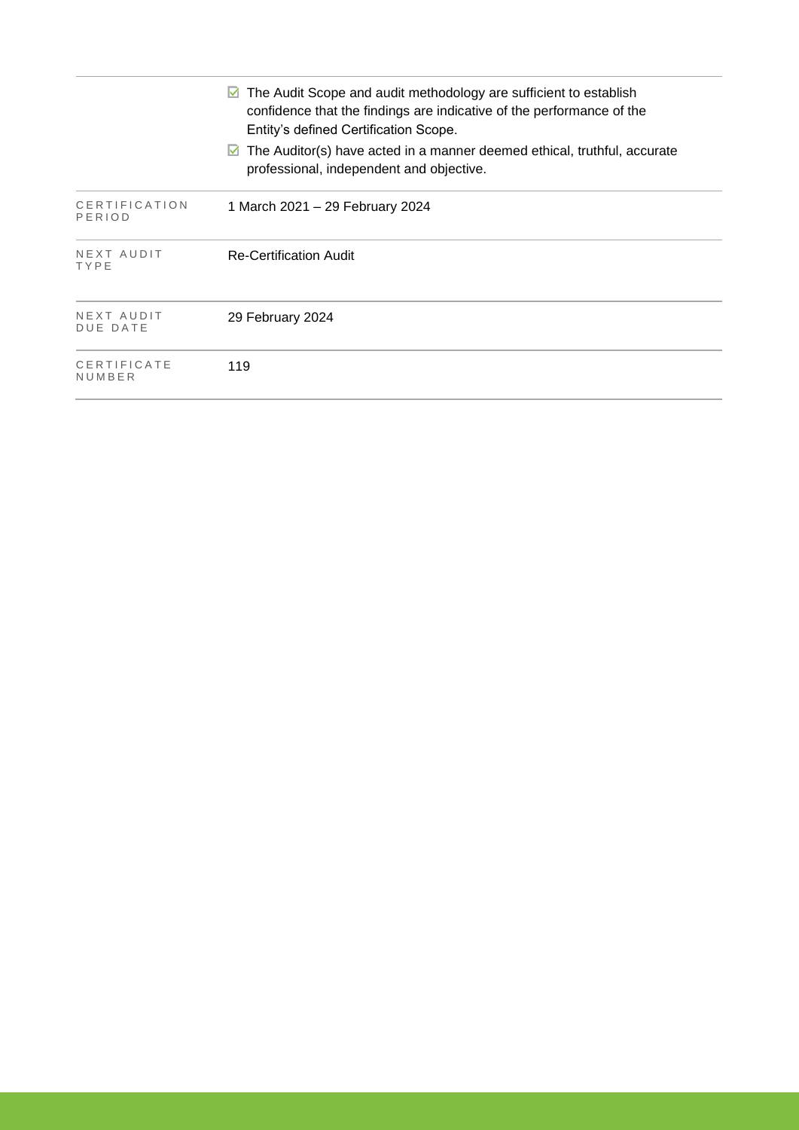|                               | The Audit Scope and audit methodology are sufficient to establish<br>M<br>confidence that the findings are indicative of the performance of the<br>Entity's defined Certification Scope. |
|-------------------------------|------------------------------------------------------------------------------------------------------------------------------------------------------------------------------------------|
|                               | $\boxtimes$ The Auditor(s) have acted in a manner deemed ethical, truthful, accurate<br>professional, independent and objective.                                                         |
| CERTIFICATION<br>PERIOD       | 1 March 2021 – 29 February 2024                                                                                                                                                          |
| NEXT AUDIT<br>TYPE            | <b>Re-Certification Audit</b>                                                                                                                                                            |
| NEXT AUDIT<br><b>DUE DATE</b> | 29 February 2024                                                                                                                                                                         |
| CERTIFICATE<br>NUMBER         | 119                                                                                                                                                                                      |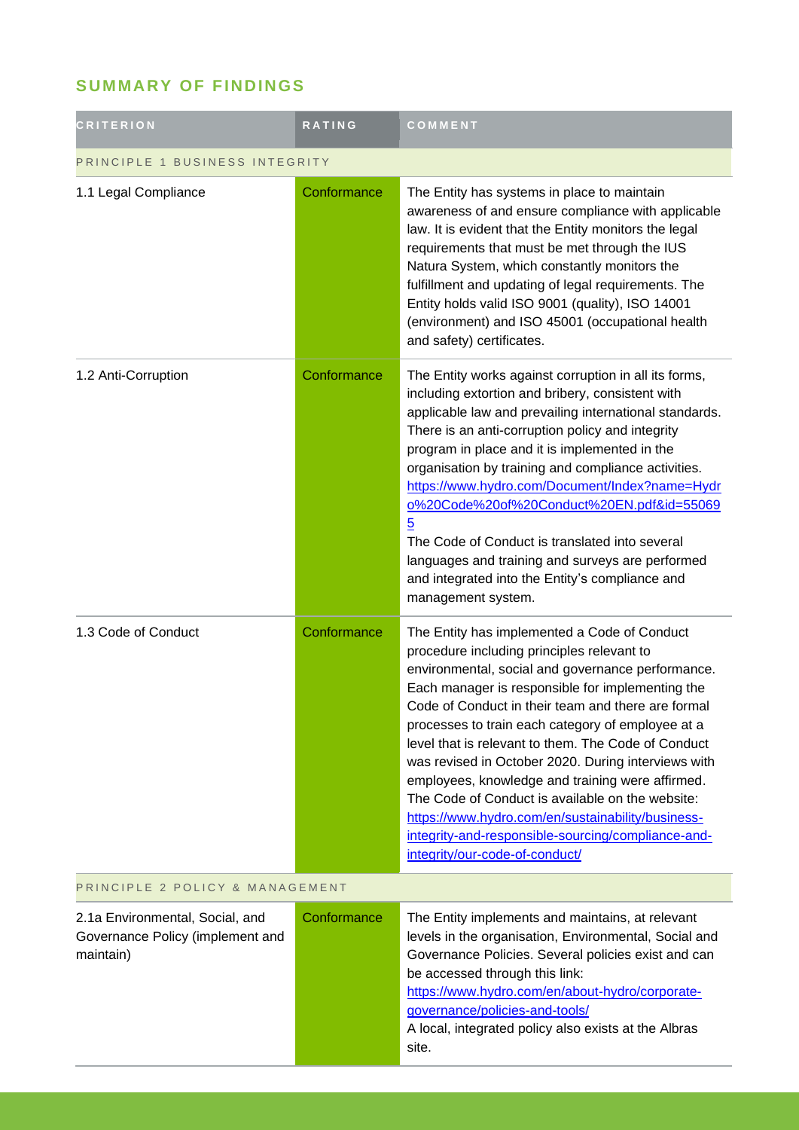## **SUMMARY OF FINDINGS**

| <b>CRITERION</b>                                                                 | RATING      | COMMENT                                                                                                                                                                                                                                                                                                                                                                                                                                                                                                                                                                                                                                                                           |  |
|----------------------------------------------------------------------------------|-------------|-----------------------------------------------------------------------------------------------------------------------------------------------------------------------------------------------------------------------------------------------------------------------------------------------------------------------------------------------------------------------------------------------------------------------------------------------------------------------------------------------------------------------------------------------------------------------------------------------------------------------------------------------------------------------------------|--|
| PRINCIPLE 1 BUSINESS INTEGRITY                                                   |             |                                                                                                                                                                                                                                                                                                                                                                                                                                                                                                                                                                                                                                                                                   |  |
| 1.1 Legal Compliance                                                             | Conformance | The Entity has systems in place to maintain<br>awareness of and ensure compliance with applicable<br>law. It is evident that the Entity monitors the legal<br>requirements that must be met through the IUS<br>Natura System, which constantly monitors the<br>fulfillment and updating of legal requirements. The<br>Entity holds valid ISO 9001 (quality), ISO 14001<br>(environment) and ISO 45001 (occupational health<br>and safety) certificates.                                                                                                                                                                                                                           |  |
| 1.2 Anti-Corruption                                                              | Conformance | The Entity works against corruption in all its forms,<br>including extortion and bribery, consistent with<br>applicable law and prevailing international standards.<br>There is an anti-corruption policy and integrity<br>program in place and it is implemented in the<br>organisation by training and compliance activities.<br>https://www.hydro.com/Document/Index?name=Hydr<br>0%20Code%20of%20Conduct%20EN.pdf&id=55069<br>$\overline{5}$<br>The Code of Conduct is translated into several<br>languages and training and surveys are performed<br>and integrated into the Entity's compliance and<br>management system.                                                   |  |
| 1.3 Code of Conduct                                                              | Conformance | The Entity has implemented a Code of Conduct<br>procedure including principles relevant to<br>environmental, social and governance performance.<br>Each manager is responsible for implementing the<br>Code of Conduct in their team and there are formal<br>processes to train each category of employee at a<br>level that is relevant to them. The Code of Conduct<br>was revised in October 2020. During interviews with<br>employees, knowledge and training were affirmed.<br>The Code of Conduct is available on the website:<br>https://www.hydro.com/en/sustainability/business-<br>integrity-and-responsible-sourcing/compliance-and-<br>integrity/our-code-of-conduct/ |  |
| PRINCIPLE 2 POLICY & MANAGEMENT                                                  |             |                                                                                                                                                                                                                                                                                                                                                                                                                                                                                                                                                                                                                                                                                   |  |
| 2.1a Environmental, Social, and<br>Governance Policy (implement and<br>maintain) | Conformance | The Entity implements and maintains, at relevant<br>levels in the organisation, Environmental, Social and<br>Governance Policies. Several policies exist and can<br>be accessed through this link:<br>https://www.hydro.com/en/about-hydro/corporate-<br>governance/policies-and-tools/<br>A local, integrated policy also exists at the Albras<br>site.                                                                                                                                                                                                                                                                                                                          |  |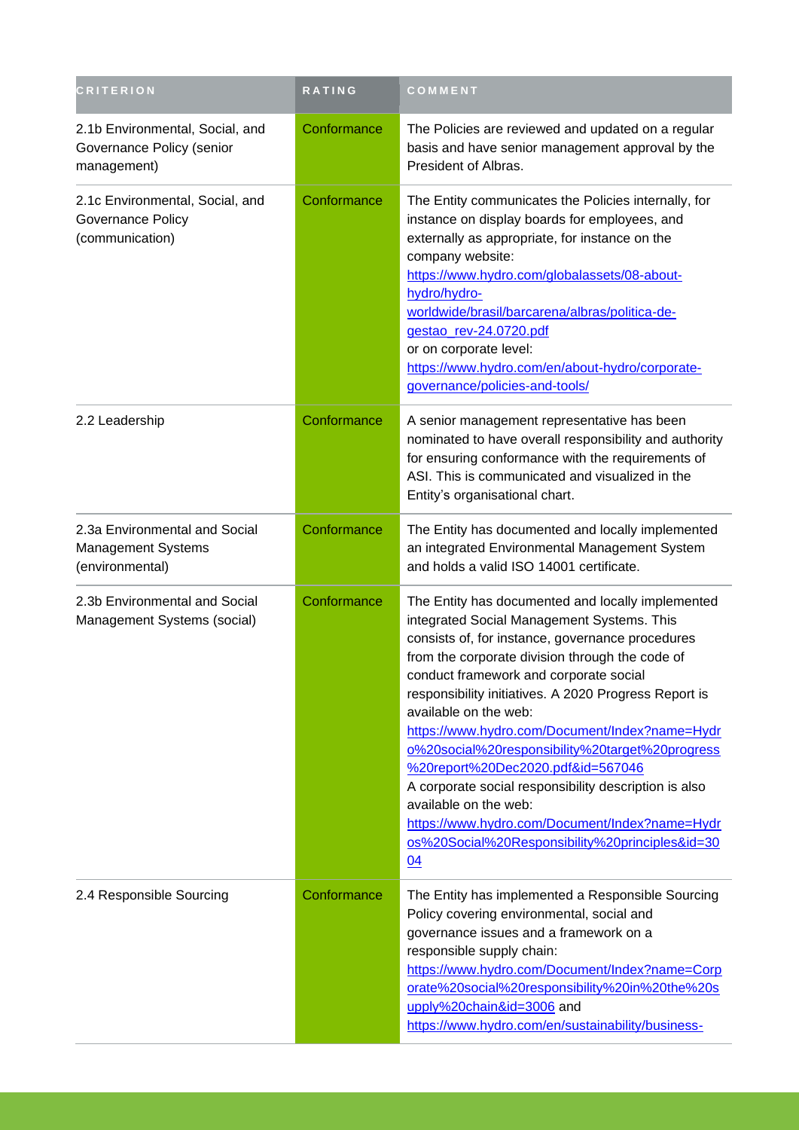| <b>CRITERION</b>                                                              | RATING      | COMMENT                                                                                                                                                                                                                                                                                                                                                                                                                                                                                                                                                                                                                                                                   |
|-------------------------------------------------------------------------------|-------------|---------------------------------------------------------------------------------------------------------------------------------------------------------------------------------------------------------------------------------------------------------------------------------------------------------------------------------------------------------------------------------------------------------------------------------------------------------------------------------------------------------------------------------------------------------------------------------------------------------------------------------------------------------------------------|
| 2.1b Environmental, Social, and<br>Governance Policy (senior<br>management)   | Conformance | The Policies are reviewed and updated on a regular<br>basis and have senior management approval by the<br>President of Albras.                                                                                                                                                                                                                                                                                                                                                                                                                                                                                                                                            |
| 2.1c Environmental, Social, and<br>Governance Policy<br>(communication)       | Conformance | The Entity communicates the Policies internally, for<br>instance on display boards for employees, and<br>externally as appropriate, for instance on the<br>company website:<br>https://www.hydro.com/globalassets/08-about-<br>hydro/hydro-<br>worldwide/brasil/barcarena/albras/politica-de-<br>gestao_rev-24.0720.pdf<br>or on corporate level:<br>https://www.hydro.com/en/about-hydro/corporate-<br>governance/policies-and-tools/                                                                                                                                                                                                                                    |
| 2.2 Leadership                                                                | Conformance | A senior management representative has been<br>nominated to have overall responsibility and authority<br>for ensuring conformance with the requirements of<br>ASI. This is communicated and visualized in the<br>Entity's organisational chart.                                                                                                                                                                                                                                                                                                                                                                                                                           |
| 2.3a Environmental and Social<br><b>Management Systems</b><br>(environmental) | Conformance | The Entity has documented and locally implemented<br>an integrated Environmental Management System<br>and holds a valid ISO 14001 certificate.                                                                                                                                                                                                                                                                                                                                                                                                                                                                                                                            |
| 2.3b Environmental and Social<br>Management Systems (social)                  | Conformance | The Entity has documented and locally implemented<br>integrated Social Management Systems. This<br>consists of, for instance, governance procedures<br>from the corporate division through the code of<br>conduct framework and corporate social<br>responsibility initiatives. A 2020 Progress Report is<br>available on the web:<br>https://www.hydro.com/Document/Index?name=Hydr<br>o%20social%20responsibility%20target%20progress<br>%20report%20Dec2020.pdf&id=567046<br>A corporate social responsibility description is also<br>available on the web:<br>https://www.hydro.com/Document/Index?name=Hydr<br>os%20Social%20Responsibility%20principles&id=30<br>04 |
| 2.4 Responsible Sourcing                                                      | Conformance | The Entity has implemented a Responsible Sourcing<br>Policy covering environmental, social and<br>governance issues and a framework on a<br>responsible supply chain:<br>https://www.hydro.com/Document/Index?name=Corp<br>orate%20social%20responsibility%20in%20the%20s<br>upply%20chain&id=3006 and<br>https://www.hydro.com/en/sustainability/business-                                                                                                                                                                                                                                                                                                               |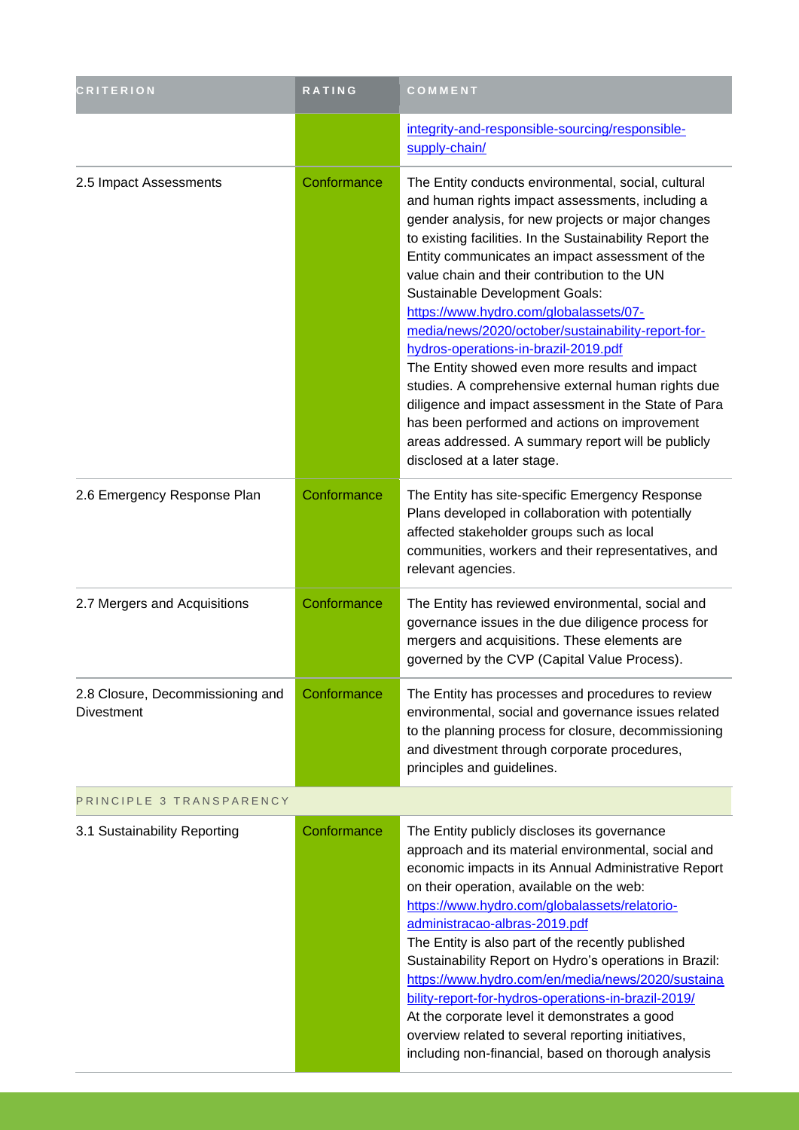| <b>CRITERION</b>                                      | <b>RATING</b> | COMMENT                                                                                                                                                                                                                                                                                                                                                                                                                                                                                                                                                                                                                                                                                                                                                                                                      |
|-------------------------------------------------------|---------------|--------------------------------------------------------------------------------------------------------------------------------------------------------------------------------------------------------------------------------------------------------------------------------------------------------------------------------------------------------------------------------------------------------------------------------------------------------------------------------------------------------------------------------------------------------------------------------------------------------------------------------------------------------------------------------------------------------------------------------------------------------------------------------------------------------------|
|                                                       |               | integrity-and-responsible-sourcing/responsible-<br>supply-chain/                                                                                                                                                                                                                                                                                                                                                                                                                                                                                                                                                                                                                                                                                                                                             |
| 2.5 Impact Assessments                                | Conformance   | The Entity conducts environmental, social, cultural<br>and human rights impact assessments, including a<br>gender analysis, for new projects or major changes<br>to existing facilities. In the Sustainability Report the<br>Entity communicates an impact assessment of the<br>value chain and their contribution to the UN<br>Sustainable Development Goals:<br>https://www.hydro.com/globalassets/07-<br>media/news/2020/october/sustainability-report-for-<br>hydros-operations-in-brazil-2019.pdf<br>The Entity showed even more results and impact<br>studies. A comprehensive external human rights due<br>diligence and impact assessment in the State of Para<br>has been performed and actions on improvement<br>areas addressed. A summary report will be publicly<br>disclosed at a later stage. |
| 2.6 Emergency Response Plan                           | Conformance   | The Entity has site-specific Emergency Response<br>Plans developed in collaboration with potentially<br>affected stakeholder groups such as local<br>communities, workers and their representatives, and<br>relevant agencies.                                                                                                                                                                                                                                                                                                                                                                                                                                                                                                                                                                               |
| 2.7 Mergers and Acquisitions                          | Conformance   | The Entity has reviewed environmental, social and<br>governance issues in the due diligence process for<br>mergers and acquisitions. These elements are<br>governed by the CVP (Capital Value Process).                                                                                                                                                                                                                                                                                                                                                                                                                                                                                                                                                                                                      |
| 2.8 Closure, Decommissioning and<br><b>Divestment</b> | Conformance   | The Entity has processes and procedures to review<br>environmental, social and governance issues related<br>to the planning process for closure, decommissioning<br>and divestment through corporate procedures,<br>principles and guidelines.                                                                                                                                                                                                                                                                                                                                                                                                                                                                                                                                                               |
| PRINCIPLE 3 TRANSPARENCY                              |               |                                                                                                                                                                                                                                                                                                                                                                                                                                                                                                                                                                                                                                                                                                                                                                                                              |
| 3.1 Sustainability Reporting                          | Conformance   | The Entity publicly discloses its governance<br>approach and its material environmental, social and<br>economic impacts in its Annual Administrative Report<br>on their operation, available on the web:<br>https://www.hydro.com/globalassets/relatorio-<br>administracao-albras-2019.pdf<br>The Entity is also part of the recently published<br>Sustainability Report on Hydro's operations in Brazil:<br>https://www.hydro.com/en/media/news/2020/sustaina<br>bility-report-for-hydros-operations-in-brazil-2019/<br>At the corporate level it demonstrates a good<br>overview related to several reporting initiatives,<br>including non-financial, based on thorough analysis                                                                                                                          |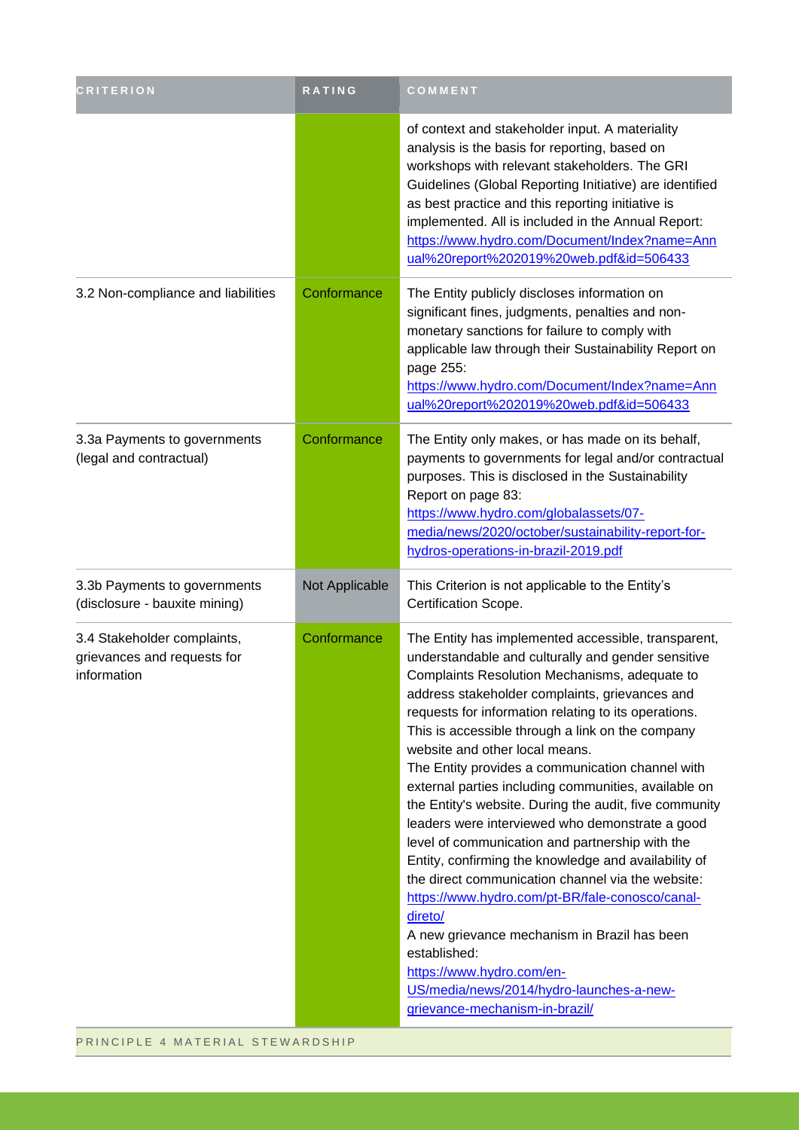| <b>CRITERION</b>                                                          | <b>RATING</b>  | COMMENT                                                                                                                                                                                                                                                                                                                                                                                                                                                                                                                                                                                                                                                                                                                                                                                                                                                                                                                                                                                      |
|---------------------------------------------------------------------------|----------------|----------------------------------------------------------------------------------------------------------------------------------------------------------------------------------------------------------------------------------------------------------------------------------------------------------------------------------------------------------------------------------------------------------------------------------------------------------------------------------------------------------------------------------------------------------------------------------------------------------------------------------------------------------------------------------------------------------------------------------------------------------------------------------------------------------------------------------------------------------------------------------------------------------------------------------------------------------------------------------------------|
|                                                                           |                | of context and stakeholder input. A materiality<br>analysis is the basis for reporting, based on<br>workshops with relevant stakeholders. The GRI<br>Guidelines (Global Reporting Initiative) are identified<br>as best practice and this reporting initiative is<br>implemented. All is included in the Annual Report:<br>https://www.hydro.com/Document/Index?name=Ann<br>ual%20report%202019%20web.pdf&id=506433                                                                                                                                                                                                                                                                                                                                                                                                                                                                                                                                                                          |
| 3.2 Non-compliance and liabilities                                        | Conformance    | The Entity publicly discloses information on<br>significant fines, judgments, penalties and non-<br>monetary sanctions for failure to comply with<br>applicable law through their Sustainability Report on<br>page 255:<br>https://www.hydro.com/Document/Index?name=Ann<br>ual%20report%202019%20web.pdf&id=506433                                                                                                                                                                                                                                                                                                                                                                                                                                                                                                                                                                                                                                                                          |
| 3.3a Payments to governments<br>(legal and contractual)                   | Conformance    | The Entity only makes, or has made on its behalf,<br>payments to governments for legal and/or contractual<br>purposes. This is disclosed in the Sustainability<br>Report on page 83:<br>https://www.hydro.com/globalassets/07-<br>media/news/2020/october/sustainability-report-for-<br>hydros-operations-in-brazil-2019.pdf                                                                                                                                                                                                                                                                                                                                                                                                                                                                                                                                                                                                                                                                 |
| 3.3b Payments to governments<br>(disclosure - bauxite mining)             | Not Applicable | This Criterion is not applicable to the Entity's<br>Certification Scope.                                                                                                                                                                                                                                                                                                                                                                                                                                                                                                                                                                                                                                                                                                                                                                                                                                                                                                                     |
| 3.4 Stakeholder complaints,<br>grievances and requests for<br>information | Conformance    | The Entity has implemented accessible, transparent,<br>understandable and culturally and gender sensitive<br>Complaints Resolution Mechanisms, adequate to<br>address stakeholder complaints, grievances and<br>requests for information relating to its operations.<br>This is accessible through a link on the company<br>website and other local means.<br>The Entity provides a communication channel with<br>external parties including communities, available on<br>the Entity's website. During the audit, five community<br>leaders were interviewed who demonstrate a good<br>level of communication and partnership with the<br>Entity, confirming the knowledge and availability of<br>the direct communication channel via the website:<br>https://www.hydro.com/pt-BR/fale-conosco/canal-<br>direto/<br>A new grievance mechanism in Brazil has been<br>established:<br>https://www.hydro.com/en-<br>US/media/news/2014/hydro-launches-a-new-<br>grievance-mechanism-in-brazil/ |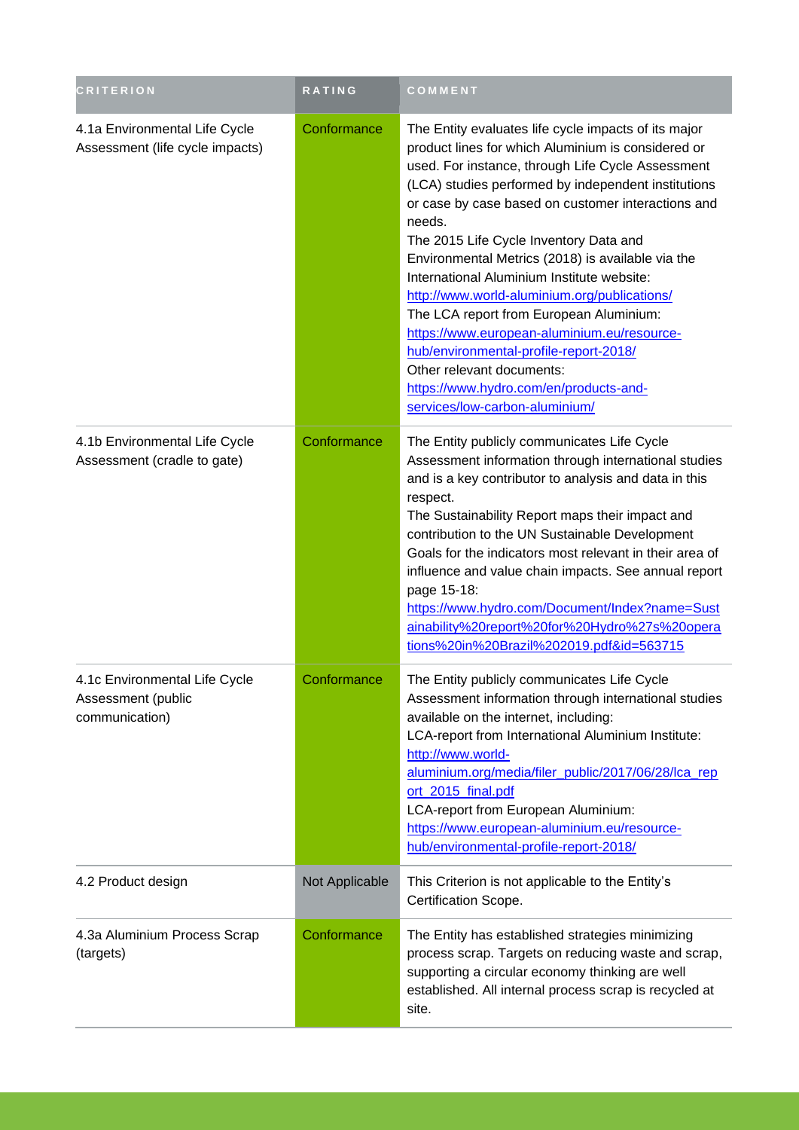| <b>CRITERION</b>                                                      | RATING         | COMMENT                                                                                                                                                                                                                                                                                                                                                                                                                                                                                                                                                                                                                                                                                                                          |
|-----------------------------------------------------------------------|----------------|----------------------------------------------------------------------------------------------------------------------------------------------------------------------------------------------------------------------------------------------------------------------------------------------------------------------------------------------------------------------------------------------------------------------------------------------------------------------------------------------------------------------------------------------------------------------------------------------------------------------------------------------------------------------------------------------------------------------------------|
| 4.1a Environmental Life Cycle<br>Assessment (life cycle impacts)      | Conformance    | The Entity evaluates life cycle impacts of its major<br>product lines for which Aluminium is considered or<br>used. For instance, through Life Cycle Assessment<br>(LCA) studies performed by independent institutions<br>or case by case based on customer interactions and<br>needs.<br>The 2015 Life Cycle Inventory Data and<br>Environmental Metrics (2018) is available via the<br>International Aluminium Institute website:<br>http://www.world-aluminium.org/publications/<br>The LCA report from European Aluminium:<br>https://www.european-aluminium.eu/resource-<br>hub/environmental-profile-report-2018/<br>Other relevant documents:<br>https://www.hydro.com/en/products-and-<br>services/low-carbon-aluminium/ |
| 4.1b Environmental Life Cycle<br>Assessment (cradle to gate)          | Conformance    | The Entity publicly communicates Life Cycle<br>Assessment information through international studies<br>and is a key contributor to analysis and data in this<br>respect.<br>The Sustainability Report maps their impact and<br>contribution to the UN Sustainable Development<br>Goals for the indicators most relevant in their area of<br>influence and value chain impacts. See annual report<br>page 15-18:<br>https://www.hydro.com/Document/Index?name=Sust<br>ainability%20report%20for%20Hydro%27s%20opera<br>tions%20in%20Brazil%202019.pdf&id=563715                                                                                                                                                                   |
| 4.1c Environmental Life Cycle<br>Assessment (public<br>communication) | Conformance    | The Entity publicly communicates Life Cycle<br>Assessment information through international studies<br>available on the internet, including:<br>LCA-report from International Aluminium Institute:<br>http://www.world-<br>aluminium.org/media/filer_public/2017/06/28/lca_rep<br>ort_2015_final.pdf<br>LCA-report from European Aluminium:<br>https://www.european-aluminium.eu/resource-<br>hub/environmental-profile-report-2018/                                                                                                                                                                                                                                                                                             |
| 4.2 Product design                                                    | Not Applicable | This Criterion is not applicable to the Entity's<br>Certification Scope.                                                                                                                                                                                                                                                                                                                                                                                                                                                                                                                                                                                                                                                         |
| 4.3a Aluminium Process Scrap<br>(targets)                             | Conformance    | The Entity has established strategies minimizing<br>process scrap. Targets on reducing waste and scrap,<br>supporting a circular economy thinking are well<br>established. All internal process scrap is recycled at<br>site.                                                                                                                                                                                                                                                                                                                                                                                                                                                                                                    |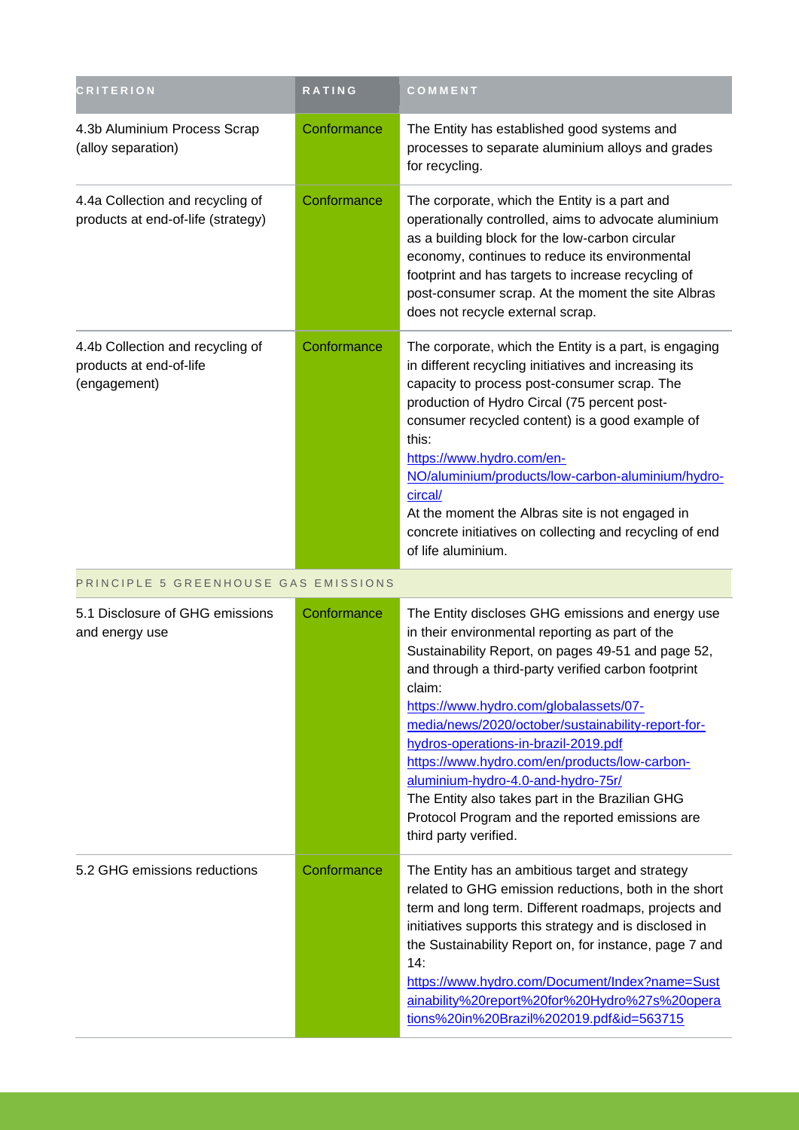| <b>CRITERION</b>                                                            | <b>RATING</b> | COMMENT                                                                                                                                                                                                                                                                                                                                                                                                                                                                                                                                                                                   |
|-----------------------------------------------------------------------------|---------------|-------------------------------------------------------------------------------------------------------------------------------------------------------------------------------------------------------------------------------------------------------------------------------------------------------------------------------------------------------------------------------------------------------------------------------------------------------------------------------------------------------------------------------------------------------------------------------------------|
| 4.3b Aluminium Process Scrap<br>(alloy separation)                          | Conformance   | The Entity has established good systems and<br>processes to separate aluminium alloys and grades<br>for recycling.                                                                                                                                                                                                                                                                                                                                                                                                                                                                        |
| 4.4a Collection and recycling of<br>products at end-of-life (strategy)      | Conformance   | The corporate, which the Entity is a part and<br>operationally controlled, aims to advocate aluminium<br>as a building block for the low-carbon circular<br>economy, continues to reduce its environmental<br>footprint and has targets to increase recycling of<br>post-consumer scrap. At the moment the site Albras<br>does not recycle external scrap.                                                                                                                                                                                                                                |
| 4.4b Collection and recycling of<br>products at end-of-life<br>(engagement) | Conformance   | The corporate, which the Entity is a part, is engaging<br>in different recycling initiatives and increasing its<br>capacity to process post-consumer scrap. The<br>production of Hydro Circal (75 percent post-<br>consumer recycled content) is a good example of<br>this:<br>https://www.hydro.com/en-<br>NO/aluminium/products/low-carbon-aluminium/hydro-<br>circal/<br>At the moment the Albras site is not engaged in<br>concrete initiatives on collecting and recycling of end<br>of life aluminium.                                                                              |
| PRINCIPLE 5 GREENHOUSE GAS EMISSIONS                                        |               |                                                                                                                                                                                                                                                                                                                                                                                                                                                                                                                                                                                           |
| 5.1 Disclosure of GHG emissions<br>and energy use                           | Conformance   | The Entity discloses GHG emissions and energy use<br>in their environmental reporting as part of the<br>Sustainability Report, on pages 49-51 and page 52,<br>and through a third-party verified carbon footprint<br>claim:<br>https://www.hydro.com/globalassets/07-<br>media/news/2020/october/sustainability-report-for-<br>hydros-operations-in-brazil-2019.pdf<br>https://www.hydro.com/en/products/low-carbon-<br>aluminium-hydro-4.0-and-hydro-75r/<br>The Entity also takes part in the Brazilian GHG<br>Protocol Program and the reported emissions are<br>third party verified. |
| 5.2 GHG emissions reductions                                                | Conformance   | The Entity has an ambitious target and strategy<br>related to GHG emission reductions, both in the short<br>term and long term. Different roadmaps, projects and<br>initiatives supports this strategy and is disclosed in<br>the Sustainability Report on, for instance, page 7 and<br>14:<br>https://www.hydro.com/Document/Index?name=Sust<br>ainability%20report%20for%20Hydro%27s%20opera<br>tions%20in%20Brazil%202019.pdf&id=563715                                                                                                                                                |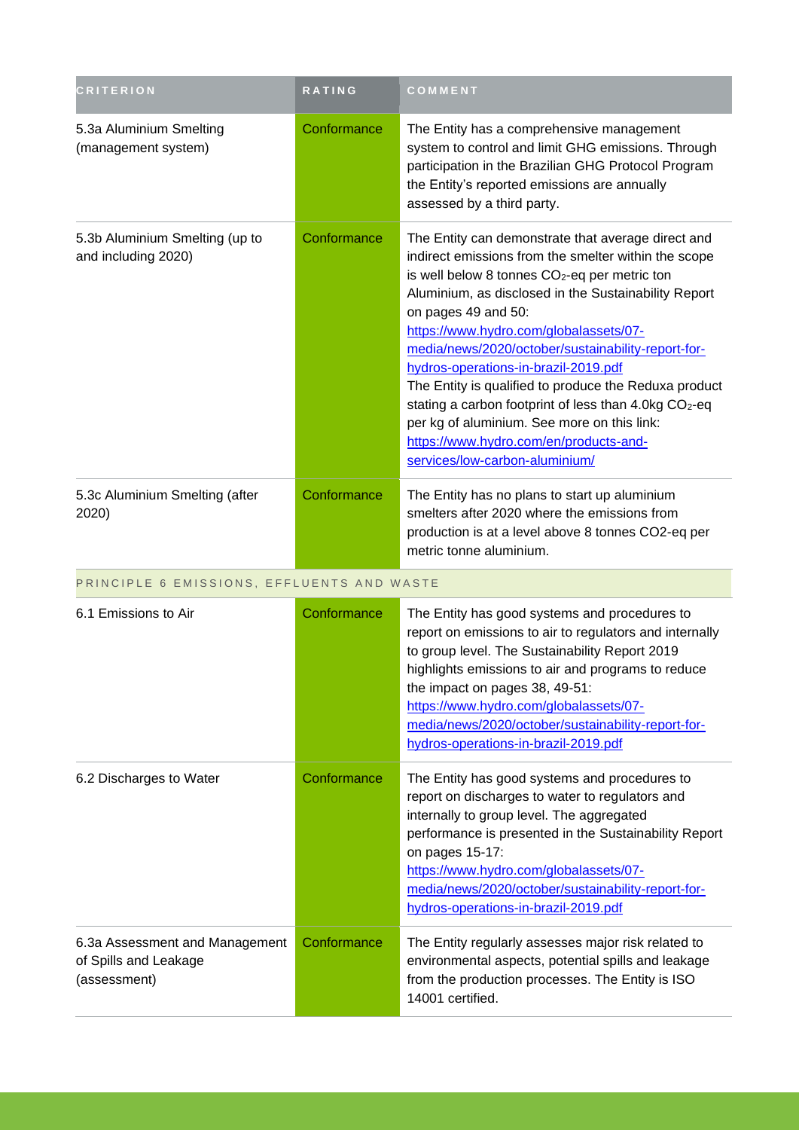| <b>CRITERION</b>                                                        | <b>RATING</b> | COMMENT                                                                                                                                                                                                                                                                                                                                                                                                                                                                                                                                                                                                                                                 |
|-------------------------------------------------------------------------|---------------|---------------------------------------------------------------------------------------------------------------------------------------------------------------------------------------------------------------------------------------------------------------------------------------------------------------------------------------------------------------------------------------------------------------------------------------------------------------------------------------------------------------------------------------------------------------------------------------------------------------------------------------------------------|
| 5.3a Aluminium Smelting<br>(management system)                          | Conformance   | The Entity has a comprehensive management<br>system to control and limit GHG emissions. Through<br>participation in the Brazilian GHG Protocol Program<br>the Entity's reported emissions are annually<br>assessed by a third party.                                                                                                                                                                                                                                                                                                                                                                                                                    |
| 5.3b Aluminium Smelting (up to<br>and including 2020)                   | Conformance   | The Entity can demonstrate that average direct and<br>indirect emissions from the smelter within the scope<br>is well below 8 tonnes CO <sub>2</sub> -eq per metric ton<br>Aluminium, as disclosed in the Sustainability Report<br>on pages 49 and 50:<br>https://www.hydro.com/globalassets/07-<br>media/news/2020/october/sustainability-report-for-<br>hydros-operations-in-brazil-2019.pdf<br>The Entity is qualified to produce the Reduxa product<br>stating a carbon footprint of less than 4.0kg CO <sub>2</sub> -eq<br>per kg of aluminium. See more on this link:<br>https://www.hydro.com/en/products-and-<br>services/low-carbon-aluminium/ |
| 5.3c Aluminium Smelting (after<br>2020)                                 | Conformance   | The Entity has no plans to start up aluminium<br>smelters after 2020 where the emissions from<br>production is at a level above 8 tonnes CO2-eq per<br>metric tonne aluminium.                                                                                                                                                                                                                                                                                                                                                                                                                                                                          |
| PRINCIPLE 6 EMISSIONS, EFFLUENTS AND WASTE                              |               |                                                                                                                                                                                                                                                                                                                                                                                                                                                                                                                                                                                                                                                         |
| 6.1 Emissions to Air                                                    | Conformance   | The Entity has good systems and procedures to<br>report on emissions to air to regulators and internally<br>to group level. The Sustainability Report 2019<br>highlights emissions to air and programs to reduce<br>the impact on pages 38, 49-51:<br>https://www.hydro.com/globalassets/07-<br>media/news/2020/october/sustainability-report-for-<br>hydros-operations-in-brazil-2019.pdf                                                                                                                                                                                                                                                              |
| 6.2 Discharges to Water                                                 | Conformance   | The Entity has good systems and procedures to<br>report on discharges to water to regulators and<br>internally to group level. The aggregated<br>performance is presented in the Sustainability Report<br>on pages 15-17:<br>https://www.hydro.com/globalassets/07-<br>media/news/2020/october/sustainability-report-for-<br>hydros-operations-in-brazil-2019.pdf                                                                                                                                                                                                                                                                                       |
| 6.3a Assessment and Management<br>of Spills and Leakage<br>(assessment) | Conformance   | The Entity regularly assesses major risk related to<br>environmental aspects, potential spills and leakage<br>from the production processes. The Entity is ISO<br>14001 certified.                                                                                                                                                                                                                                                                                                                                                                                                                                                                      |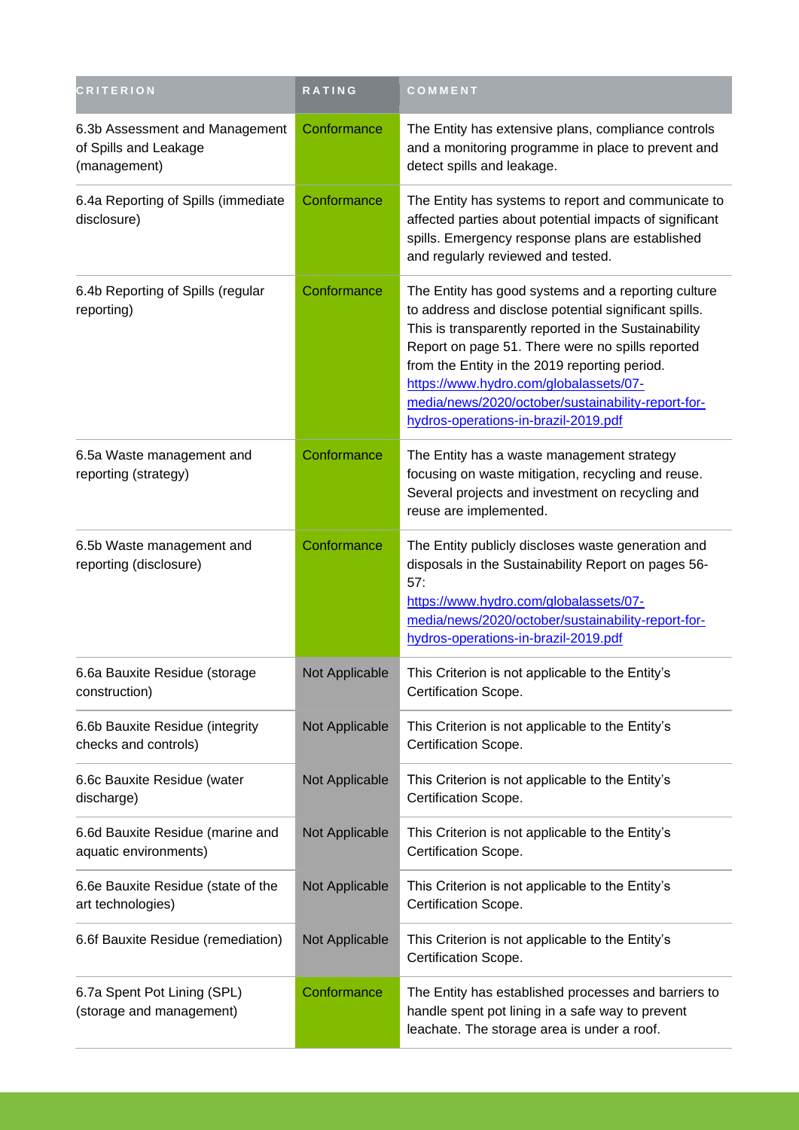| <b>CRITERION</b>                                                        | <b>RATING</b>         | COMMENT                                                                                                                                                                                                                                                                                                                                                                                                           |
|-------------------------------------------------------------------------|-----------------------|-------------------------------------------------------------------------------------------------------------------------------------------------------------------------------------------------------------------------------------------------------------------------------------------------------------------------------------------------------------------------------------------------------------------|
| 6.3b Assessment and Management<br>of Spills and Leakage<br>(management) | Conformance           | The Entity has extensive plans, compliance controls<br>and a monitoring programme in place to prevent and<br>detect spills and leakage.                                                                                                                                                                                                                                                                           |
| 6.4a Reporting of Spills (immediate<br>disclosure)                      | Conformance           | The Entity has systems to report and communicate to<br>affected parties about potential impacts of significant<br>spills. Emergency response plans are established<br>and regularly reviewed and tested.                                                                                                                                                                                                          |
| 6.4b Reporting of Spills (regular<br>reporting)                         | Conformance           | The Entity has good systems and a reporting culture<br>to address and disclose potential significant spills.<br>This is transparently reported in the Sustainability<br>Report on page 51. There were no spills reported<br>from the Entity in the 2019 reporting period.<br>https://www.hydro.com/globalassets/07-<br>media/news/2020/october/sustainability-report-for-<br>hydros-operations-in-brazil-2019.pdf |
| 6.5a Waste management and<br>reporting (strategy)                       | Conformance           | The Entity has a waste management strategy<br>focusing on waste mitigation, recycling and reuse.<br>Several projects and investment on recycling and<br>reuse are implemented.                                                                                                                                                                                                                                    |
| 6.5b Waste management and<br>reporting (disclosure)                     | Conformance           | The Entity publicly discloses waste generation and<br>disposals in the Sustainability Report on pages 56-<br>57:<br>https://www.hydro.com/globalassets/07-<br>media/news/2020/october/sustainability-report-for-<br>hydros-operations-in-brazil-2019.pdf                                                                                                                                                          |
| 6.6a Bauxite Residue (storage<br>construction)                          | <b>Not Applicable</b> | This Criterion is not applicable to the Entity's<br>Certification Scope.                                                                                                                                                                                                                                                                                                                                          |
| 6.6b Bauxite Residue (integrity<br>checks and controls)                 | Not Applicable        | This Criterion is not applicable to the Entity's<br>Certification Scope.                                                                                                                                                                                                                                                                                                                                          |
| 6.6c Bauxite Residue (water<br>discharge)                               | Not Applicable        | This Criterion is not applicable to the Entity's<br>Certification Scope.                                                                                                                                                                                                                                                                                                                                          |
| 6.6d Bauxite Residue (marine and<br>aquatic environments)               | Not Applicable        | This Criterion is not applicable to the Entity's<br>Certification Scope.                                                                                                                                                                                                                                                                                                                                          |
| 6.6e Bauxite Residue (state of the<br>art technologies)                 | Not Applicable        | This Criterion is not applicable to the Entity's<br>Certification Scope.                                                                                                                                                                                                                                                                                                                                          |
| 6.6f Bauxite Residue (remediation)                                      | Not Applicable        | This Criterion is not applicable to the Entity's<br>Certification Scope.                                                                                                                                                                                                                                                                                                                                          |
| 6.7a Spent Pot Lining (SPL)<br>(storage and management)                 | Conformance           | The Entity has established processes and barriers to<br>handle spent pot lining in a safe way to prevent<br>leachate. The storage area is under a roof.                                                                                                                                                                                                                                                           |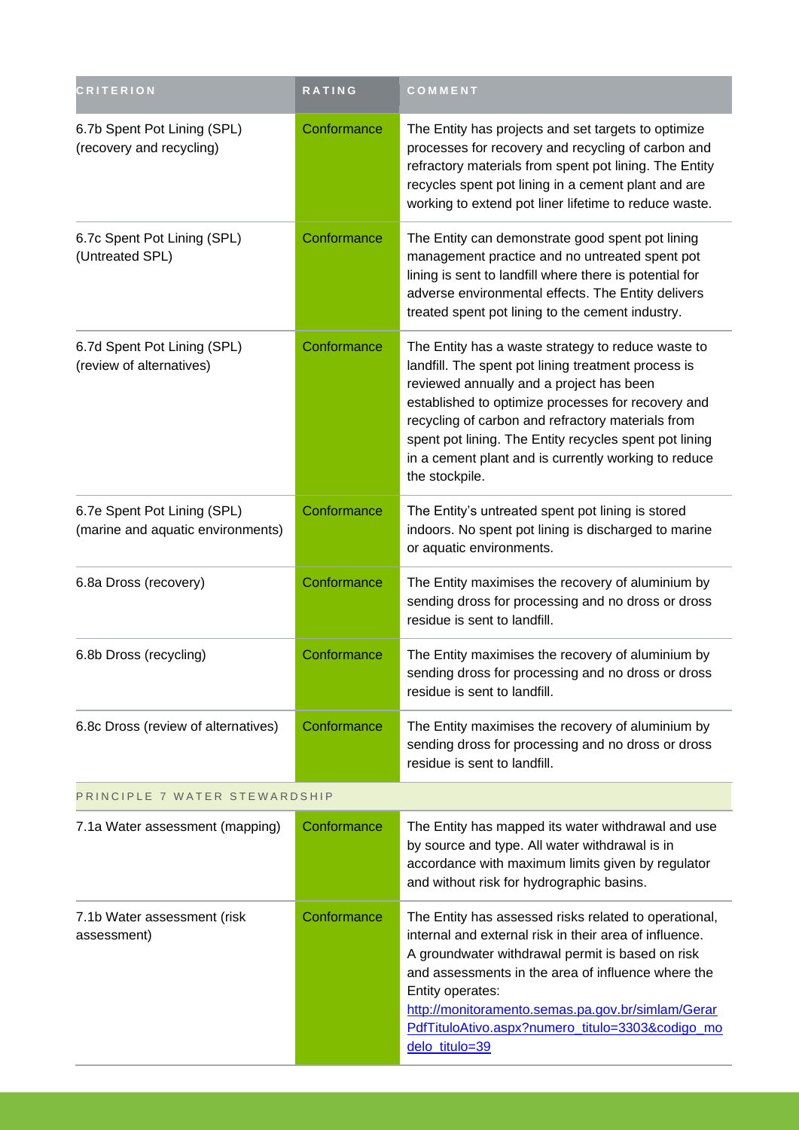| <b>CRITERION</b>                                                 | RATING      | COMMENT                                                                                                                                                                                                                                                                                                                                                                                              |
|------------------------------------------------------------------|-------------|------------------------------------------------------------------------------------------------------------------------------------------------------------------------------------------------------------------------------------------------------------------------------------------------------------------------------------------------------------------------------------------------------|
| 6.7b Spent Pot Lining (SPL)<br>(recovery and recycling)          | Conformance | The Entity has projects and set targets to optimize<br>processes for recovery and recycling of carbon and<br>refractory materials from spent pot lining. The Entity<br>recycles spent pot lining in a cement plant and are<br>working to extend pot liner lifetime to reduce waste.                                                                                                                  |
| 6.7c Spent Pot Lining (SPL)<br>(Untreated SPL)                   | Conformance | The Entity can demonstrate good spent pot lining<br>management practice and no untreated spent pot<br>lining is sent to landfill where there is potential for<br>adverse environmental effects. The Entity delivers<br>treated spent pot lining to the cement industry.                                                                                                                              |
| 6.7d Spent Pot Lining (SPL)<br>(review of alternatives)          | Conformance | The Entity has a waste strategy to reduce waste to<br>landfill. The spent pot lining treatment process is<br>reviewed annually and a project has been<br>established to optimize processes for recovery and<br>recycling of carbon and refractory materials from<br>spent pot lining. The Entity recycles spent pot lining<br>in a cement plant and is currently working to reduce<br>the stockpile. |
| 6.7e Spent Pot Lining (SPL)<br>(marine and aquatic environments) | Conformance | The Entity's untreated spent pot lining is stored<br>indoors. No spent pot lining is discharged to marine<br>or aquatic environments.                                                                                                                                                                                                                                                                |
| 6.8a Dross (recovery)                                            | Conformance | The Entity maximises the recovery of aluminium by<br>sending dross for processing and no dross or dross<br>residue is sent to landfill.                                                                                                                                                                                                                                                              |
| 6.8b Dross (recycling)                                           | Conformance | The Entity maximises the recovery of aluminium by<br>sending dross for processing and no dross or dross<br>residue is sent to landfill.                                                                                                                                                                                                                                                              |
| 6.8c Dross (review of alternatives)                              | Conformance | The Entity maximises the recovery of aluminium by<br>sending dross for processing and no dross or dross<br>residue is sent to landfill.                                                                                                                                                                                                                                                              |
| PRINCIPLE 7 WATER STEWARDSHIP                                    |             |                                                                                                                                                                                                                                                                                                                                                                                                      |
| 7.1a Water assessment (mapping)                                  | Conformance | The Entity has mapped its water withdrawal and use<br>by source and type. All water withdrawal is in<br>accordance with maximum limits given by regulator<br>and without risk for hydrographic basins.                                                                                                                                                                                               |
| 7.1b Water assessment (risk<br>assessment)                       | Conformance | The Entity has assessed risks related to operational,<br>internal and external risk in their area of influence.<br>A groundwater withdrawal permit is based on risk<br>and assessments in the area of influence where the<br>Entity operates:<br>http://monitoramento.semas.pa.gov.br/simlam/Gerar<br>PdfTituloAtivo.aspx?numero titulo=3303&codigo mo<br>delo_titulo=39                             |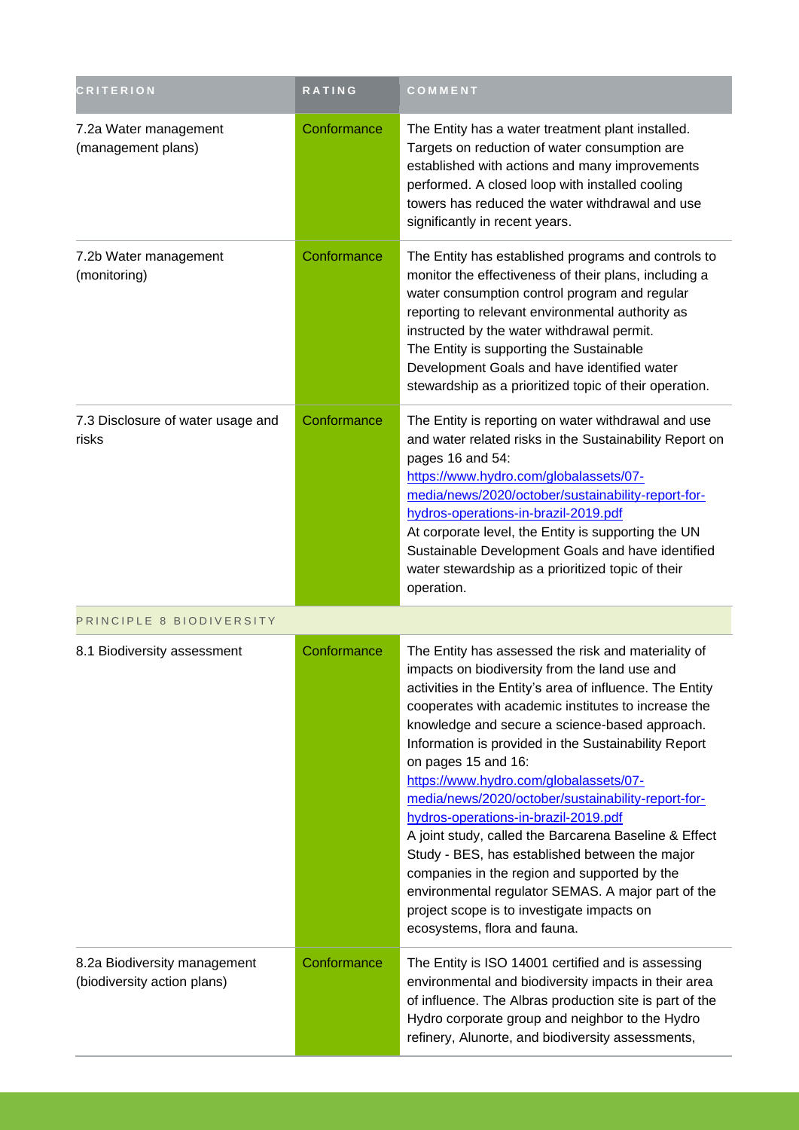| <b>CRITERION</b>                                            | RATING      | COMMENT                                                                                                                                                                                                                                                                                                                                                                                                                                                                                                                                                                                                                                                                                                                                                                                         |
|-------------------------------------------------------------|-------------|-------------------------------------------------------------------------------------------------------------------------------------------------------------------------------------------------------------------------------------------------------------------------------------------------------------------------------------------------------------------------------------------------------------------------------------------------------------------------------------------------------------------------------------------------------------------------------------------------------------------------------------------------------------------------------------------------------------------------------------------------------------------------------------------------|
| 7.2a Water management<br>(management plans)                 | Conformance | The Entity has a water treatment plant installed.<br>Targets on reduction of water consumption are<br>established with actions and many improvements<br>performed. A closed loop with installed cooling<br>towers has reduced the water withdrawal and use<br>significantly in recent years.                                                                                                                                                                                                                                                                                                                                                                                                                                                                                                    |
| 7.2b Water management<br>(monitoring)                       | Conformance | The Entity has established programs and controls to<br>monitor the effectiveness of their plans, including a<br>water consumption control program and regular<br>reporting to relevant environmental authority as<br>instructed by the water withdrawal permit.<br>The Entity is supporting the Sustainable<br>Development Goals and have identified water<br>stewardship as a prioritized topic of their operation.                                                                                                                                                                                                                                                                                                                                                                            |
| 7.3 Disclosure of water usage and<br>risks                  | Conformance | The Entity is reporting on water withdrawal and use<br>and water related risks in the Sustainability Report on<br>pages 16 and 54:<br>https://www.hydro.com/globalassets/07-<br>media/news/2020/october/sustainability-report-for-<br>hydros-operations-in-brazil-2019.pdf<br>At corporate level, the Entity is supporting the UN<br>Sustainable Development Goals and have identified<br>water stewardship as a prioritized topic of their<br>operation.                                                                                                                                                                                                                                                                                                                                       |
| PRINCIPLE 8 BIODIVERSITY                                    |             |                                                                                                                                                                                                                                                                                                                                                                                                                                                                                                                                                                                                                                                                                                                                                                                                 |
| 8.1 Biodiversity assessment                                 | Conformance | The Entity has assessed the risk and materiality of<br>impacts on biodiversity from the land use and<br>activities in the Entity's area of influence. The Entity<br>cooperates with academic institutes to increase the<br>knowledge and secure a science-based approach.<br>Information is provided in the Sustainability Report<br>on pages 15 and 16:<br>https://www.hydro.com/globalassets/07-<br>media/news/2020/october/sustainability-report-for-<br>hydros-operations-in-brazil-2019.pdf<br>A joint study, called the Barcarena Baseline & Effect<br>Study - BES, has established between the major<br>companies in the region and supported by the<br>environmental regulator SEMAS. A major part of the<br>project scope is to investigate impacts on<br>ecosystems, flora and fauna. |
| 8.2a Biodiversity management<br>(biodiversity action plans) | Conformance | The Entity is ISO 14001 certified and is assessing<br>environmental and biodiversity impacts in their area<br>of influence. The Albras production site is part of the<br>Hydro corporate group and neighbor to the Hydro<br>refinery, Alunorte, and biodiversity assessments,                                                                                                                                                                                                                                                                                                                                                                                                                                                                                                                   |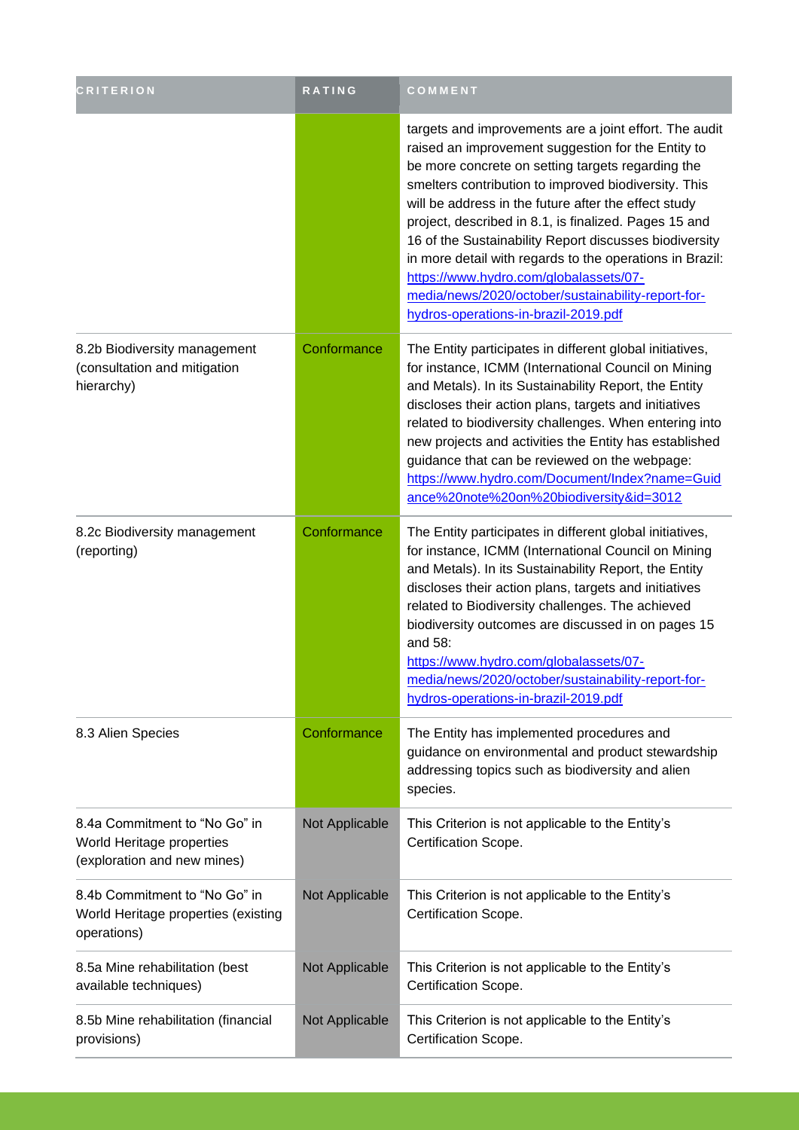| <b>CRITERION</b>                                                                          | RATING         | COMMENT                                                                                                                                                                                                                                                                                                                                                                                                                                                                                                                                                                                                  |
|-------------------------------------------------------------------------------------------|----------------|----------------------------------------------------------------------------------------------------------------------------------------------------------------------------------------------------------------------------------------------------------------------------------------------------------------------------------------------------------------------------------------------------------------------------------------------------------------------------------------------------------------------------------------------------------------------------------------------------------|
|                                                                                           |                | targets and improvements are a joint effort. The audit<br>raised an improvement suggestion for the Entity to<br>be more concrete on setting targets regarding the<br>smelters contribution to improved biodiversity. This<br>will be address in the future after the effect study<br>project, described in 8.1, is finalized. Pages 15 and<br>16 of the Sustainability Report discusses biodiversity<br>in more detail with regards to the operations in Brazil:<br>https://www.hydro.com/globalassets/07-<br>media/news/2020/october/sustainability-report-for-<br>hydros-operations-in-brazil-2019.pdf |
| 8.2b Biodiversity management<br>(consultation and mitigation<br>hierarchy)                | Conformance    | The Entity participates in different global initiatives,<br>for instance, ICMM (International Council on Mining<br>and Metals). In its Sustainability Report, the Entity<br>discloses their action plans, targets and initiatives<br>related to biodiversity challenges. When entering into<br>new projects and activities the Entity has established<br>guidance that can be reviewed on the webpage:<br>https://www.hydro.com/Document/Index?name=Guid<br>ance%20note%20on%20biodiversity&id=3012                                                                                                      |
| 8.2c Biodiversity management<br>(reporting)                                               | Conformance    | The Entity participates in different global initiatives,<br>for instance, ICMM (International Council on Mining<br>and Metals). In its Sustainability Report, the Entity<br>discloses their action plans, targets and initiatives<br>related to Biodiversity challenges. The achieved<br>biodiversity outcomes are discussed in on pages 15<br>and 58:<br>https://www.hydro.com/globalassets/07-<br>media/news/2020/october/sustainability-report-for-<br>hydros-operations-in-brazil-2019.pdf                                                                                                           |
| 8.3 Alien Species                                                                         | Conformance    | The Entity has implemented procedures and<br>guidance on environmental and product stewardship<br>addressing topics such as biodiversity and alien<br>species.                                                                                                                                                                                                                                                                                                                                                                                                                                           |
| 8.4a Commitment to "No Go" in<br>World Heritage properties<br>(exploration and new mines) | Not Applicable | This Criterion is not applicable to the Entity's<br>Certification Scope.                                                                                                                                                                                                                                                                                                                                                                                                                                                                                                                                 |
| 8.4b Commitment to "No Go" in<br>World Heritage properties (existing<br>operations)       | Not Applicable | This Criterion is not applicable to the Entity's<br>Certification Scope.                                                                                                                                                                                                                                                                                                                                                                                                                                                                                                                                 |
| 8.5a Mine rehabilitation (best<br>available techniques)                                   | Not Applicable | This Criterion is not applicable to the Entity's<br>Certification Scope.                                                                                                                                                                                                                                                                                                                                                                                                                                                                                                                                 |
| 8.5b Mine rehabilitation (financial<br>provisions)                                        | Not Applicable | This Criterion is not applicable to the Entity's<br>Certification Scope.                                                                                                                                                                                                                                                                                                                                                                                                                                                                                                                                 |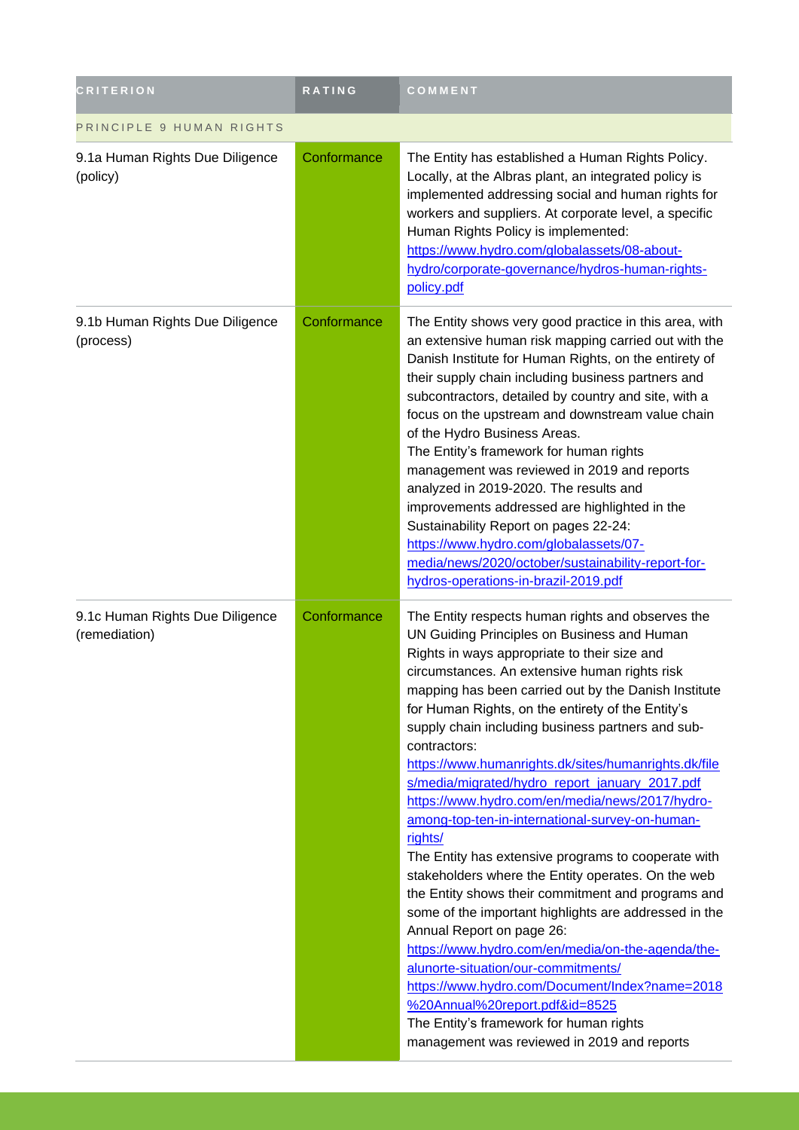| <b>CRITERION</b>                                 | <b>RATING</b> | COMMENT                                                                                                                                                                                                                                                                                                                                                                                                                                                                                                                                                                                                                                                                                                                                                                                                                                                                                                                                                                                                                                                                                                                                           |
|--------------------------------------------------|---------------|---------------------------------------------------------------------------------------------------------------------------------------------------------------------------------------------------------------------------------------------------------------------------------------------------------------------------------------------------------------------------------------------------------------------------------------------------------------------------------------------------------------------------------------------------------------------------------------------------------------------------------------------------------------------------------------------------------------------------------------------------------------------------------------------------------------------------------------------------------------------------------------------------------------------------------------------------------------------------------------------------------------------------------------------------------------------------------------------------------------------------------------------------|
| PRINCIPLE 9 HUMAN RIGHTS                         |               |                                                                                                                                                                                                                                                                                                                                                                                                                                                                                                                                                                                                                                                                                                                                                                                                                                                                                                                                                                                                                                                                                                                                                   |
| 9.1a Human Rights Due Diligence<br>(policy)      | Conformance   | The Entity has established a Human Rights Policy.<br>Locally, at the Albras plant, an integrated policy is<br>implemented addressing social and human rights for<br>workers and suppliers. At corporate level, a specific<br>Human Rights Policy is implemented:<br>https://www.hydro.com/globalassets/08-about-<br>hydro/corporate-governance/hydros-human-rights-<br>policy.pdf                                                                                                                                                                                                                                                                                                                                                                                                                                                                                                                                                                                                                                                                                                                                                                 |
| 9.1b Human Rights Due Diligence<br>(process)     | Conformance   | The Entity shows very good practice in this area, with<br>an extensive human risk mapping carried out with the<br>Danish Institute for Human Rights, on the entirety of<br>their supply chain including business partners and<br>subcontractors, detailed by country and site, with a<br>focus on the upstream and downstream value chain<br>of the Hydro Business Areas.<br>The Entity's framework for human rights<br>management was reviewed in 2019 and reports<br>analyzed in 2019-2020. The results and<br>improvements addressed are highlighted in the<br>Sustainability Report on pages 22-24:<br>https://www.hydro.com/globalassets/07-<br>media/news/2020/october/sustainability-report-for-<br>hydros-operations-in-brazil-2019.pdf                                                                                                                                                                                                                                                                                                                                                                                                   |
| 9.1c Human Rights Due Diligence<br>(remediation) | Conformance   | The Entity respects human rights and observes the<br>UN Guiding Principles on Business and Human<br>Rights in ways appropriate to their size and<br>circumstances. An extensive human rights risk<br>mapping has been carried out by the Danish Institute<br>for Human Rights, on the entirety of the Entity's<br>supply chain including business partners and sub-<br>contractors:<br>https://www.humanrights.dk/sites/humanrights.dk/file<br>s/media/migrated/hydro_report_january_2017.pdf<br>https://www.hydro.com/en/media/news/2017/hydro-<br>among-top-ten-in-international-survey-on-human-<br>rights/<br>The Entity has extensive programs to cooperate with<br>stakeholders where the Entity operates. On the web<br>the Entity shows their commitment and programs and<br>some of the important highlights are addressed in the<br>Annual Report on page 26:<br>https://www.hydro.com/en/media/on-the-agenda/the-<br>alunorte-situation/our-commitments/<br>https://www.hydro.com/Document/Index?name=2018<br>%20Annual%20report.pdf&id=8525<br>The Entity's framework for human rights<br>management was reviewed in 2019 and reports |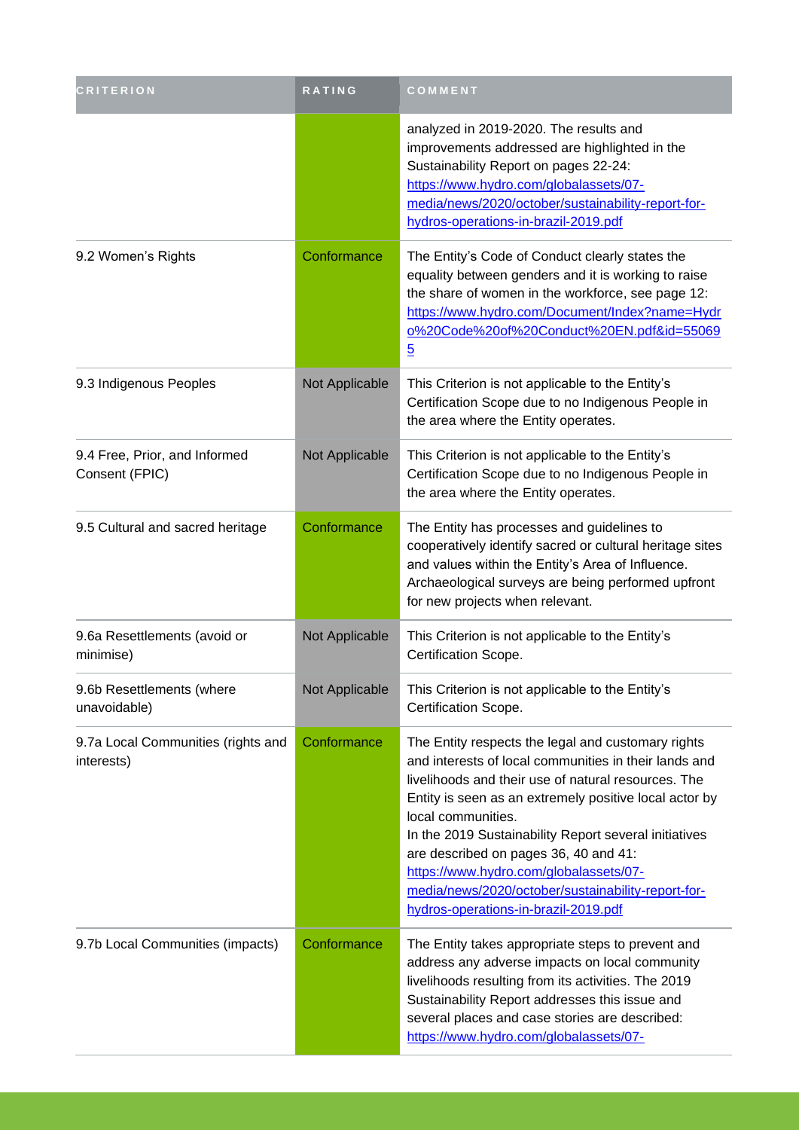| <b>CRITERION</b>                                 | RATING         | COMMENT                                                                                                                                                                                                                                                                                                                                                                                                                                                                                      |
|--------------------------------------------------|----------------|----------------------------------------------------------------------------------------------------------------------------------------------------------------------------------------------------------------------------------------------------------------------------------------------------------------------------------------------------------------------------------------------------------------------------------------------------------------------------------------------|
|                                                  |                | analyzed in 2019-2020. The results and<br>improvements addressed are highlighted in the<br>Sustainability Report on pages 22-24:<br>https://www.hydro.com/globalassets/07-<br>media/news/2020/october/sustainability-report-for-<br>hydros-operations-in-brazil-2019.pdf                                                                                                                                                                                                                     |
| 9.2 Women's Rights                               | Conformance    | The Entity's Code of Conduct clearly states the<br>equality between genders and it is working to raise<br>the share of women in the workforce, see page 12:<br>https://www.hydro.com/Document/Index?name=Hydr<br>0%20Code%20of%20Conduct%20EN.pdf&id=55069<br>$\overline{5}$                                                                                                                                                                                                                 |
| 9.3 Indigenous Peoples                           | Not Applicable | This Criterion is not applicable to the Entity's<br>Certification Scope due to no Indigenous People in<br>the area where the Entity operates.                                                                                                                                                                                                                                                                                                                                                |
| 9.4 Free, Prior, and Informed<br>Consent (FPIC)  | Not Applicable | This Criterion is not applicable to the Entity's<br>Certification Scope due to no Indigenous People in<br>the area where the Entity operates.                                                                                                                                                                                                                                                                                                                                                |
| 9.5 Cultural and sacred heritage                 | Conformance    | The Entity has processes and guidelines to<br>cooperatively identify sacred or cultural heritage sites<br>and values within the Entity's Area of Influence.<br>Archaeological surveys are being performed upfront<br>for new projects when relevant.                                                                                                                                                                                                                                         |
| 9.6a Resettlements (avoid or<br>minimise)        | Not Applicable | This Criterion is not applicable to the Entity's<br>Certification Scope.                                                                                                                                                                                                                                                                                                                                                                                                                     |
| 9.6b Resettlements (where<br>unavoidable)        | Not Applicable | This Criterion is not applicable to the Entity's<br>Certification Scope.                                                                                                                                                                                                                                                                                                                                                                                                                     |
| 9.7a Local Communities (rights and<br>interests) | Conformance    | The Entity respects the legal and customary rights<br>and interests of local communities in their lands and<br>livelihoods and their use of natural resources. The<br>Entity is seen as an extremely positive local actor by<br>local communities.<br>In the 2019 Sustainability Report several initiatives<br>are described on pages 36, 40 and 41:<br>https://www.hydro.com/globalassets/07-<br>media/news/2020/october/sustainability-report-for-<br>hydros-operations-in-brazil-2019.pdf |
| 9.7b Local Communities (impacts)                 | Conformance    | The Entity takes appropriate steps to prevent and<br>address any adverse impacts on local community<br>livelihoods resulting from its activities. The 2019<br>Sustainability Report addresses this issue and<br>several places and case stories are described:<br>https://www.hydro.com/globalassets/07-                                                                                                                                                                                     |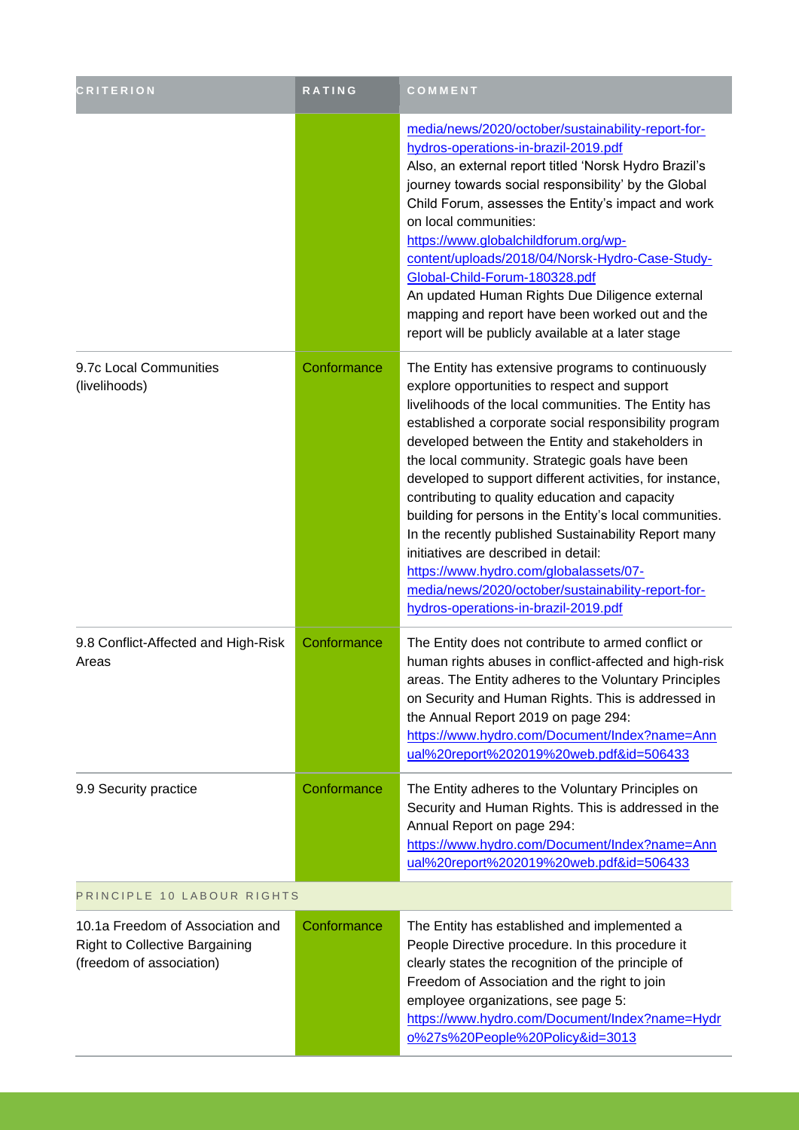| <b>CRITERION</b>                                                                                      | RATING      | COMMENT                                                                                                                                                                                                                                                                                                                                                                                                                                                                                                                                                                                                                                                                                                                                   |
|-------------------------------------------------------------------------------------------------------|-------------|-------------------------------------------------------------------------------------------------------------------------------------------------------------------------------------------------------------------------------------------------------------------------------------------------------------------------------------------------------------------------------------------------------------------------------------------------------------------------------------------------------------------------------------------------------------------------------------------------------------------------------------------------------------------------------------------------------------------------------------------|
|                                                                                                       |             | media/news/2020/october/sustainability-report-for-<br>hydros-operations-in-brazil-2019.pdf<br>Also, an external report titled 'Norsk Hydro Brazil's<br>journey towards social responsibility' by the Global<br>Child Forum, assesses the Entity's impact and work<br>on local communities:<br>https://www.globalchildforum.org/wp-<br>content/uploads/2018/04/Norsk-Hydro-Case-Study-<br>Global-Child-Forum-180328.pdf<br>An updated Human Rights Due Diligence external<br>mapping and report have been worked out and the<br>report will be publicly available at a later stage                                                                                                                                                         |
| 9.7c Local Communities<br>(livelihoods)                                                               | Conformance | The Entity has extensive programs to continuously<br>explore opportunities to respect and support<br>livelihoods of the local communities. The Entity has<br>established a corporate social responsibility program<br>developed between the Entity and stakeholders in<br>the local community. Strategic goals have been<br>developed to support different activities, for instance,<br>contributing to quality education and capacity<br>building for persons in the Entity's local communities.<br>In the recently published Sustainability Report many<br>initiatives are described in detail:<br>https://www.hydro.com/globalassets/07-<br>media/news/2020/october/sustainability-report-for-<br>hydros-operations-in-brazil-2019.pdf |
| 9.8 Conflict-Affected and High-Risk<br>Areas                                                          | Conformance | The Entity does not contribute to armed conflict or<br>human rights abuses in conflict-affected and high-risk<br>areas. The Entity adheres to the Voluntary Principles<br>on Security and Human Rights. This is addressed in<br>the Annual Report 2019 on page 294:<br>https://www.hydro.com/Document/Index?name=Ann<br>ual%20report%202019%20web.pdf&id=506433                                                                                                                                                                                                                                                                                                                                                                           |
| 9.9 Security practice                                                                                 | Conformance | The Entity adheres to the Voluntary Principles on<br>Security and Human Rights. This is addressed in the<br>Annual Report on page 294:<br>https://www.hydro.com/Document/Index?name=Ann<br>ual%20report%202019%20web.pdf&id=506433                                                                                                                                                                                                                                                                                                                                                                                                                                                                                                        |
| PRINCIPLE 10 LABOUR RIGHTS                                                                            |             |                                                                                                                                                                                                                                                                                                                                                                                                                                                                                                                                                                                                                                                                                                                                           |
| 10.1a Freedom of Association and<br><b>Right to Collective Bargaining</b><br>(freedom of association) | Conformance | The Entity has established and implemented a<br>People Directive procedure. In this procedure it<br>clearly states the recognition of the principle of<br>Freedom of Association and the right to join<br>employee organizations, see page 5:<br>https://www.hydro.com/Document/Index?name=Hydr<br>0%27s%20People%20Policy&id=3013                                                                                                                                                                                                                                                                                                                                                                                                        |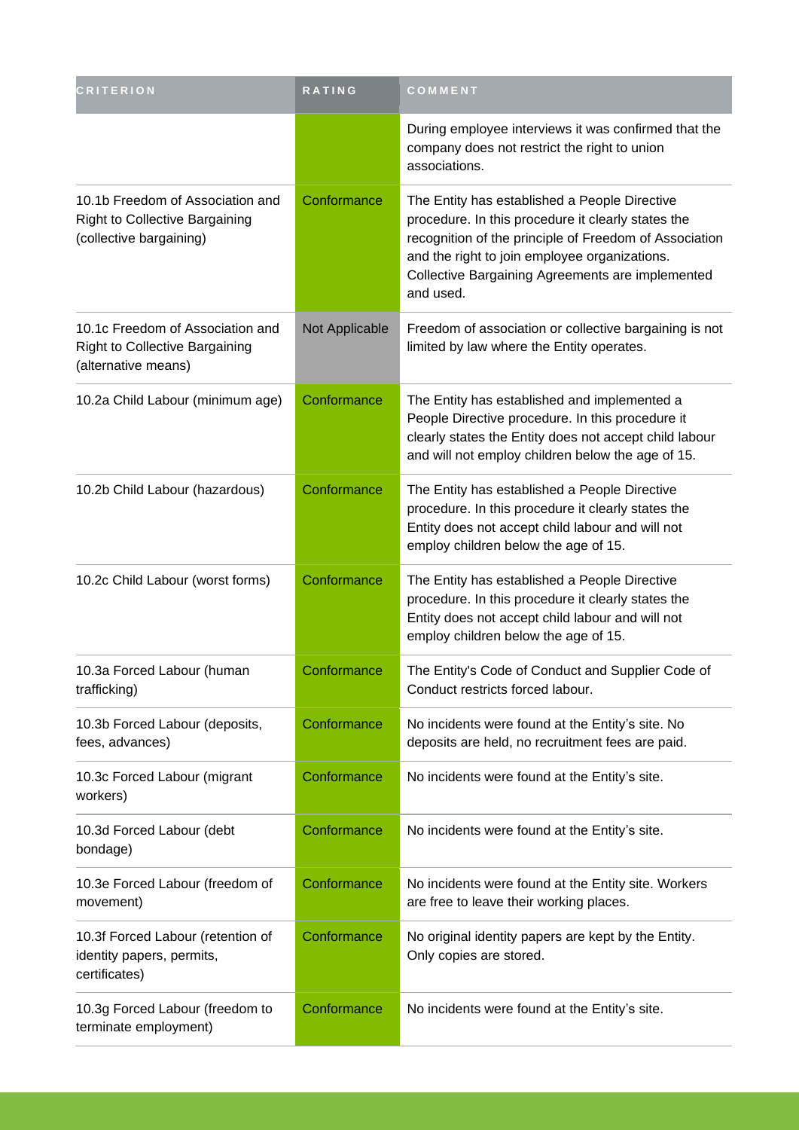| <b>CRITERION</b>                                                                                     | <b>RATING</b>  | COMMENT                                                                                                                                                                                                                                                                         |
|------------------------------------------------------------------------------------------------------|----------------|---------------------------------------------------------------------------------------------------------------------------------------------------------------------------------------------------------------------------------------------------------------------------------|
|                                                                                                      |                | During employee interviews it was confirmed that the<br>company does not restrict the right to union<br>associations.                                                                                                                                                           |
| 10.1b Freedom of Association and<br><b>Right to Collective Bargaining</b><br>(collective bargaining) | Conformance    | The Entity has established a People Directive<br>procedure. In this procedure it clearly states the<br>recognition of the principle of Freedom of Association<br>and the right to join employee organizations.<br>Collective Bargaining Agreements are implemented<br>and used. |
| 10.1c Freedom of Association and<br><b>Right to Collective Bargaining</b><br>(alternative means)     | Not Applicable | Freedom of association or collective bargaining is not<br>limited by law where the Entity operates.                                                                                                                                                                             |
| 10.2a Child Labour (minimum age)                                                                     | Conformance    | The Entity has established and implemented a<br>People Directive procedure. In this procedure it<br>clearly states the Entity does not accept child labour<br>and will not employ children below the age of 15.                                                                 |
| 10.2b Child Labour (hazardous)                                                                       | Conformance    | The Entity has established a People Directive<br>procedure. In this procedure it clearly states the<br>Entity does not accept child labour and will not<br>employ children below the age of 15.                                                                                 |
| 10.2c Child Labour (worst forms)                                                                     | Conformance    | The Entity has established a People Directive<br>procedure. In this procedure it clearly states the<br>Entity does not accept child labour and will not<br>employ children below the age of 15.                                                                                 |
| 10.3a Forced Labour (human<br>trafficking)                                                           | Conformance    | The Entity's Code of Conduct and Supplier Code of<br>Conduct restricts forced labour.                                                                                                                                                                                           |
| 10.3b Forced Labour (deposits,<br>fees, advances)                                                    | Conformance    | No incidents were found at the Entity's site. No<br>deposits are held, no recruitment fees are paid.                                                                                                                                                                            |
| 10.3c Forced Labour (migrant<br>workers)                                                             | Conformance    | No incidents were found at the Entity's site.                                                                                                                                                                                                                                   |
| 10.3d Forced Labour (debt<br>bondage)                                                                | Conformance    | No incidents were found at the Entity's site.                                                                                                                                                                                                                                   |
| 10.3e Forced Labour (freedom of<br>movement)                                                         | Conformance    | No incidents were found at the Entity site. Workers<br>are free to leave their working places.                                                                                                                                                                                  |
| 10.3f Forced Labour (retention of<br>identity papers, permits,<br>certificates)                      | Conformance    | No original identity papers are kept by the Entity.<br>Only copies are stored.                                                                                                                                                                                                  |
| 10.3g Forced Labour (freedom to<br>terminate employment)                                             | Conformance    | No incidents were found at the Entity's site.                                                                                                                                                                                                                                   |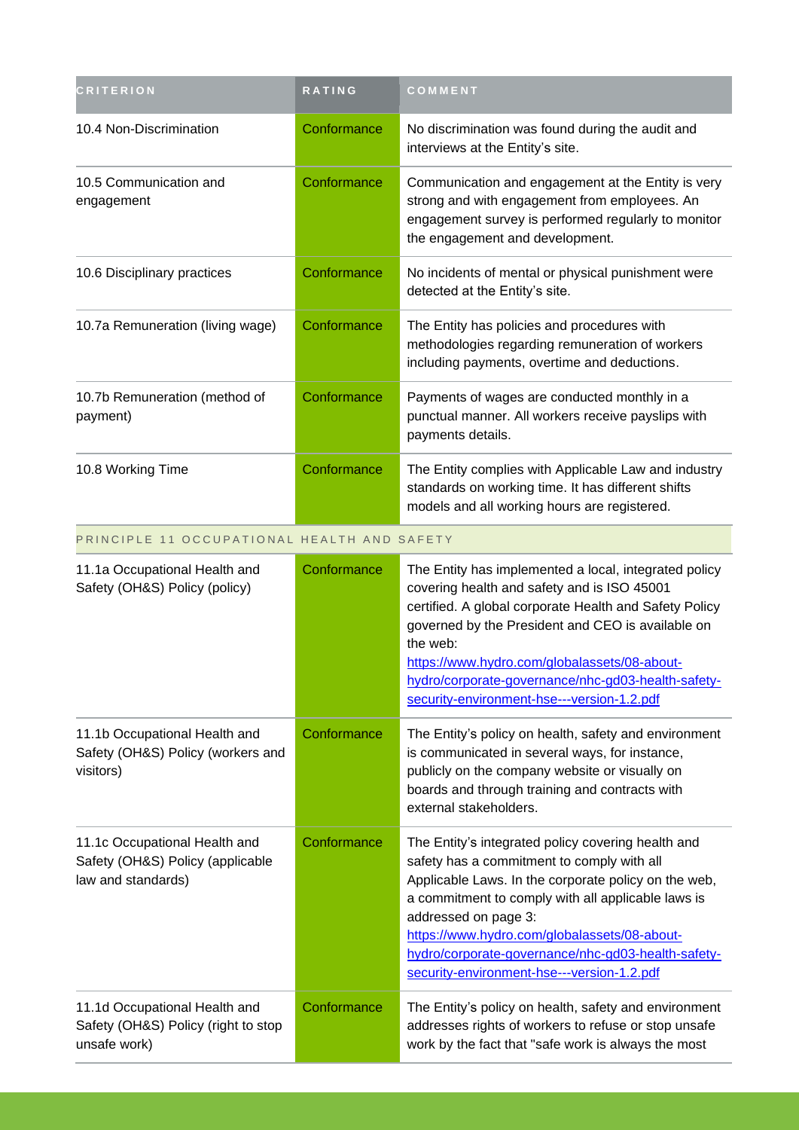| <b>CRITERION</b>                                                                        | <b>RATING</b> | COMMENT                                                                                                                                                                                                                                                                                                                                                                                    |
|-----------------------------------------------------------------------------------------|---------------|--------------------------------------------------------------------------------------------------------------------------------------------------------------------------------------------------------------------------------------------------------------------------------------------------------------------------------------------------------------------------------------------|
| 10.4 Non-Discrimination                                                                 | Conformance   | No discrimination was found during the audit and<br>interviews at the Entity's site.                                                                                                                                                                                                                                                                                                       |
| 10.5 Communication and<br>engagement                                                    | Conformance   | Communication and engagement at the Entity is very<br>strong and with engagement from employees. An<br>engagement survey is performed regularly to monitor<br>the engagement and development.                                                                                                                                                                                              |
| 10.6 Disciplinary practices                                                             | Conformance   | No incidents of mental or physical punishment were<br>detected at the Entity's site.                                                                                                                                                                                                                                                                                                       |
| 10.7a Remuneration (living wage)                                                        | Conformance   | The Entity has policies and procedures with<br>methodologies regarding remuneration of workers<br>including payments, overtime and deductions.                                                                                                                                                                                                                                             |
| 10.7b Remuneration (method of<br>payment)                                               | Conformance   | Payments of wages are conducted monthly in a<br>punctual manner. All workers receive payslips with<br>payments details.                                                                                                                                                                                                                                                                    |
| 10.8 Working Time                                                                       | Conformance   | The Entity complies with Applicable Law and industry<br>standards on working time. It has different shifts<br>models and all working hours are registered.                                                                                                                                                                                                                                 |
| PRINCIPLE 11 OCCUPATIONAL HEALTH AND SAFETY                                             |               |                                                                                                                                                                                                                                                                                                                                                                                            |
| 11.1a Occupational Health and<br>Safety (OH&S) Policy (policy)                          | Conformance   | The Entity has implemented a local, integrated policy<br>covering health and safety and is ISO 45001<br>certified. A global corporate Health and Safety Policy<br>governed by the President and CEO is available on<br>the web:<br>https://www.hydro.com/globalassets/08-about-<br>hydro/corporate-governance/nhc-gd03-health-safety-<br>security-environment-hse---version-1.2.pdf        |
| 11.1b Occupational Health and<br>Safety (OH&S) Policy (workers and<br>visitors)         | Conformance   | The Entity's policy on health, safety and environment<br>is communicated in several ways, for instance,<br>publicly on the company website or visually on<br>boards and through training and contracts with<br>external stakeholders.                                                                                                                                                      |
| 11.1c Occupational Health and<br>Safety (OH&S) Policy (applicable<br>law and standards) | Conformance   | The Entity's integrated policy covering health and<br>safety has a commitment to comply with all<br>Applicable Laws. In the corporate policy on the web,<br>a commitment to comply with all applicable laws is<br>addressed on page 3:<br>https://www.hydro.com/globalassets/08-about-<br>hydro/corporate-governance/nhc-gd03-health-safety-<br>security-environment-hse---version-1.2.pdf |
| 11.1d Occupational Health and<br>Safety (OH&S) Policy (right to stop<br>unsafe work)    | Conformance   | The Entity's policy on health, safety and environment<br>addresses rights of workers to refuse or stop unsafe<br>work by the fact that "safe work is always the most                                                                                                                                                                                                                       |